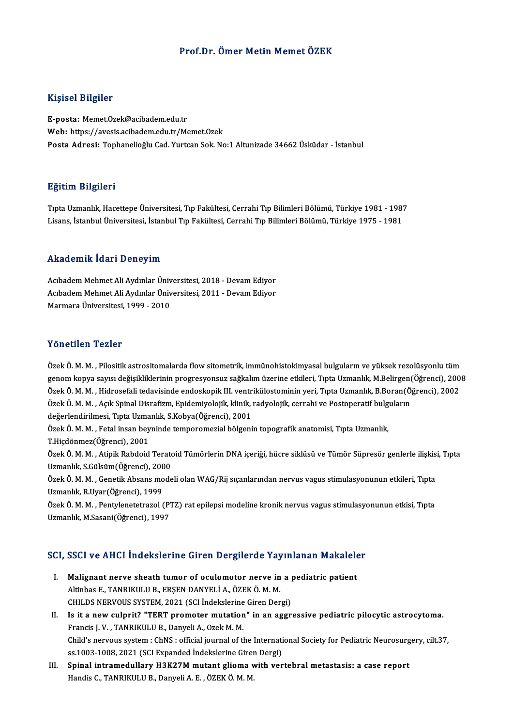#### Prof.Dr. Ömer Metin Memet ÖZEK

#### Kişisel Bilgiler

E-posta:Memet.Ozek@acibadem.edu.tr Web: https://avesis.acibadem.edu.tr/Memet.Ozek Posta Adresi: Tophanelioğlu Cad. Yurtcan Sok. No:1 Altunizade 34662 Üsküdar - İstanbul

#### Eğitim Bilgileri

Tıpta Uzmanlık, Hacettepe Üniversitesi, Tıp Fakültesi, Cerrahi Tıp Bilimleri Bölümü, Türkiye 1981 - 1987 Lisans, İstanbulÜniversitesi, İstanbulTıp Fakültesi,CerrahiTıpBilimleriBölümü,Türkiye 1975 -1981

#### Akademik İdari Deneyim

Akademik İdari Deneyim<br>Acıbadem Mehmet Ali Aydınlar Üniversitesi, 2018 - Devam Ediyor<br>Asıbadam Mehmet Ali Aydınlar Üniversitesi, 2011 - Devam Ediyor Acıbadem Mehmet Ali Aydınlar Üniversitesi, 2018 - Devam Ediyor<br>Acıbadem Mehmet Ali Aydınlar Üniversitesi, 2018 - Devam Ediyor<br>Marmara Üniversitesi, 1999 - 2019 Acıbadem Mehmet Ali Aydınlar Üniversitesi, 2011 - Devam Ediyor<br>Marmara Üniversitesi. 1999 - 2010

#### Yönetilen Tezler

Özek Ö.M.M., Pilositik astrositomalarda flow sitometrik, immünohistokimyasal bulguların ve yüksek rezolüsyonlu tüm 1 on osnon 1 on os<br>Özek Ö. M. M. , Pilositik astrositomalarda flow sitometrik, immünohistokimyasal bulguların ve yüksek rezolüsyonlu tüm<br>genom kopya sayısı değişikliklerinin progresyonsuz sağkalım üzerine etkileri, Tıpta U Özek Ö. M. M. , Pilositik astrositomalarda flow sitometrik, immünohistokimyasal bulguların ve yüksek rezolüsyonlu tüm<br>genom kopya sayısı değişikliklerinin progresyonsuz sağkalım üzerine etkileri, Tıpta Uzmanlık, M.Belirgen genom kopya sayısı değişikliklerinin progresyonsuz sağkalım üzerine etkileri, Tıpta Uzmanlık, M.Belirgen(Ö<br>Özek Ö. M. M. , Hidrosefali tedavisinde endoskopik III. ventrikülostominin yeri, Tıpta Uzmanlık, B.Boran(Ö<br>Özek Ö. Özek Ö. M. M. , Hidrosefali tedavisinde endoskopik III. ventrikülostominin yeri, Tıpta Uzmanlık, B.Boran(Öğrenci), 2002<br>Özek Ö. M. M. , Açık Spinal Disrafizm, Epidemiyolojik, klinik, radyolojik, cerrahi ve Postoperatif bul Özek Ö. M. M. , Açık Spinal Disrafizm, Epidemiyolojik, klinik, radyolojik, cerrahi ve Postoperatif bulguların<br>değerlendirilmesi, Tıpta Uzmanlık, S.Kobya(Öğrenci), 2001<br>Özek Ö. M. M. , Fetal insan beyninde temporomezial böl Özek Ö. M. M., Fetal insan beyninde temporomezial bölgenin topografik anatomisi, Tıpta Uzmanlık, Özek Ö. M. M. , Fetal insan beyninde temporomezial bölgenin topografik anatomisi, Tıpta Uzmanlık,<br>T.Hiçdönmez(Öğrenci), 2001<br>Özek Ö. M. M. , Atipik Rabdoid Teratoid Tümörlerin DNA içeriği, hücre siklüsü ve Tümör Süpresör g T.Hiçdönmez(Öğrenci), 2001<br>Özek Ö. M. M. , Atipik Rabdoid Terato<br>Uzmanlık, S.Gülsüm(Öğrenci), 2000<br>Özek Ö. M. M. , Genetik Absans mode Özek Ö. M. M. , Atipik Rabdoid Teratoid Tümörlerin DNA içeriği, hücre siklüsü ve Tümör Süpresör genlerle ilişkis<br>Uzmanlık, S.Gülsüm(Öğrenci), 2000<br>Özek Ö. M. M. , Genetik Absans modeli olan WAG/Rij sıçanlarından nervus vag Uzmanlık, S.Gülsüm(Öğrenci), 2000<br>Özek Ö. M. M. , Genetik Absans modeli olan WAG/Rij sıçanlarından nervus vagus stimulasyonunun etkileri, Tıpta<br>Uzmanlık, R.Uyar(Öğrenci), 1999 Özek Ö. M. M. , Genetik Absans modeli olan WAG/Rij sıçanlarından nervus vagus stimulasyonunun etkileri, Tıpta<br>Uzmanlık, R.Uyar(Öğrenci), 1999<br>Özek Ö. M. M. , Pentylenetetrazol (PTZ) rat epilepsi modeline kronik nervus vagu Uzmanlık, R.Uyar (Öğrenci), 1999<br>Özek Ö. M. M. , Pentylenetetrazol (P.<br>Uzmanlık, M.Sasani(Öğrenci), 1997 uzmanlık, M.Sasani(Ogrenci), 1997<br>SCI, SSCI ve AHCI İndekslerine Giren Dergilerde Yayınlanan Makaleler

- CI, SSCI ve AHCI İndekslerine Giren Dergilerde Yayınlanan Makalele<br>I. Malignant nerve sheath tumor of oculomotor nerve in a pediatric patient<br>Altinbes E. TANPIKULU R. ERSEN DANYELLA ÖZEKÖ M. M. Malignant nerve sheath tumor of oculomotor nerve in<br>Altinbas E., TANRIKULU B., ERŞEN DANYELİ A., ÖZEK Ö. M. M.<br>CHIL DS NERVOUS SYSTEM, 2021 (SCI İndekslerine Ciren Der Malignant nerve sheath tumor of oculomotor nerve in a politicial and a politicial control and a politicial control of the CHILDS NERVOUS SYSTEM, 2021 (SCI İndekslerine Giren Dergi)<br>Is it a new sulprit? "TEPT premater mutat Altinbas E., TANRIKULU B., ERȘEN DANYELİ A., ÖZEK Ö. M. M.<br>CHILDS NERVOUS SYSTEM, 2021 (SCI İndekslerine Giren Dergi)<br>II. Is it a new culprit? "TERT promoter mutation" in an aggressive pediatric pilocytic astrocytoma.<br>Fran
- CHILDS NERVOUS SYSTEM, 2021 (SCI Indekslerine Giren Dergi)<br>Is it a new culprit? "TERT promoter mutation" in an aggr<br>Francis J. V. , TANRIKULU B., Danyeli A., Ozek M. M. Is it a new culprit? "TERT promoter mutation" in an aggressive pediatric pilocytic astrocytoma.<br>Francis J. V. , TANRIKULU B., Danyeli A., Ozek M. M.<br>Child's nervous system : ChNS : official journal of the International Soc Child's nervous system : ChNS : official journal of the International Society for Pediatric Neurosurgery, cilt.37,<br>ss.1003-1008, 2021 (SCI Expanded İndekslerine Giren Dergi) Child's nervous system : ChNS : official journal of the International Society for Pediatric Neurosurg<br>ss.1003-1008, 2021 (SCI Expanded Indekslerine Giren Dergi)<br>III. Spinal intramedullary H3K27M mutant glioma with vertebr
- ss.1003-1008, 2021 (SCI Expanded İndekslerine Girer<br><mark>Spinal intramedullary H3K27M mutant glioma v</mark><br>Handis C., TANRIKULU B., Danyeli A. E. , ÖZEK Ö. M. M.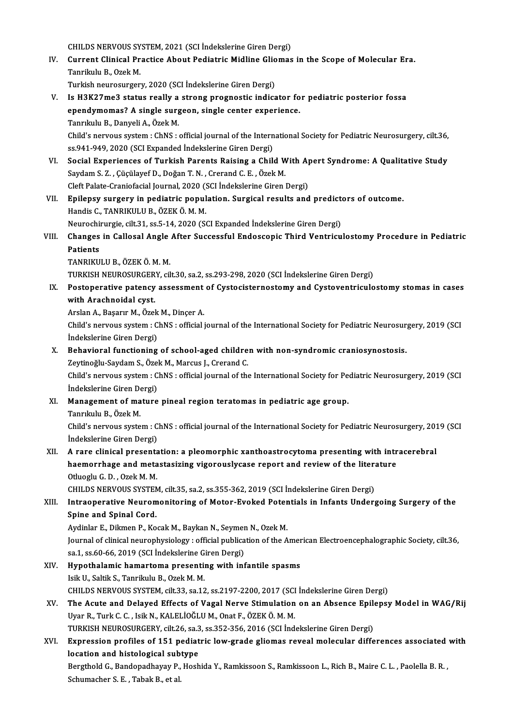CHILDS NERVOUS SYSTEM, 2021 (SCI İndekslerine Giren Dergi)

CHILDS NERVOUS SYSTEM, 2021 (SCI İndekslerine Giren Dergi)<br>IV. Current Clinical Practice About Pediatric Midline Gliomas in the Scope of Molecular Era.<br>Tenrilath P. Ozek M. Tanrikulu B., Ozek M.<br>Turkish neurosurgery, 2020 (SCI İndekslerine Giren Dergi) Current Clinical Practice About Pediatric Midline Glio<br>Tanrikulu B., Ozek M.<br>Turkish neurosurgery, 2020 (SCI İndekslerine Giren Dergi)<br>Is H2K27me2 status really a strans praspestis indiss

- Tanrikulu B., Ozek M.<br>Turkish neurosurgery, 2020 (SCI İndekslerine Giren Dergi)<br>V. Is H3K27me3 status really a strong prognostic indicator for pediatric posterior fossa<br>2000dymomas? A single surgeen, single center experien Turkish neurosurgery, 2020 (SCI İndekslerine Giren Dergi)<br>Is H3K27me3 status really a strong prognostic indicator fo<br>ependymomas? A single surgeon, single center experience.<br>Tanrıkılı B. Danyoli A. Özek M ependymomas? A single surgeon, single center experience.<br>Tanrıkulu B., Danyeli A., Özek M. Child's nervous system: ChNS: official journal of the International Society for Pediatric Neurosurgery, cilt.36, ss.941-949, 2020 (SCI Expanded İndekslerine Giren Dergi) Child's nervous system : ChNS : official journal of the International Society for Pediatric Neurosurgery, cilt.36,<br>ss.941-949, 2020 (SCI Expanded Indekslerine Giren Dergi)<br>VI. Social Experiences of Turkish Parents Raising
- ss.941-949, 2020 (SCI Expanded İndekslerine Giren Dergi)<br>Social Experiences of Turkish Parents Raising a Child W.<br>Saydam S. Z. , Çüçülayef D., Doğan T. N. , Crerand C. E. , Özek M.<br>Cleft Palate Creniafasial Jeurnal 2020 (S Social Experiences of Turkish Parents Raising a Child With A<sub>l</sub><br>Saydam S. Z. , Çüçülayef D., Doğan T. N. , Crerand C. E. , Özek M.<br>Cleft Palate-Craniofacial Journal, 2020 (SCI İndekslerine Giren Dergi)<br>Enilaney surgery in Saydam S. Z. , Çüçülayef D., Doğan T. N. , Crerand C. E. , Özek M.<br>Cleft Palate-Craniofacial Journal, 2020 (SCI İndekslerine Giren Dergi)<br>VII. Epilepsy surgery in pediatric population. Surgical results and predictors o
- Handis C., TANRIKULU B., ÖZEK Ö. M. M. Epilepsy surgery in pediatric population. Surgical results and predict<br>Handis C., TANRIKULU B., ÖZEK Ö. M. M.<br>Neurochirurgie, cilt.31, ss.5-14, 2020 (SCI Expanded İndekslerine Giren Dergi)<br>Changes in Callesal Angle After S
- Handis C., TANRIKULU B., ÖZEK Ö. M. M.<br>Neurochirurgie, cilt.31, ss.5-14, 2020 (SCI Expanded İndekslerine Giren Dergi)<br>VIII. Changes in Callosal Angle After Successful Endoscopic Third Ventriculostomy Procedure in Pedia Neurochi<br>Changes<br>Patients<br>TANPIKU Changes in Callosal Angle<br>Patients<br>TANRIKULU B., ÖZEK Ö. M. M.<br>TURKISH NEUROSURCERY GI Patients<br>TANRIKULU B., ÖZEK Ö. M. M.<br>TURKISH NEUROSURGERY, cilt.30, sa.2, ss.293-298, 2020 (SCI İndekslerine Giren Dergi)<br>Pestenarative patensy assessment of Cystesisternestemy and Cysteventricule

TANRIKULU B., ÖZEK Ö. M. M.<br>TURKISH NEUROSURGERY, cilt.30, sa.2, ss.293-298, 2020 (SCI İndekslerine Giren Dergi)<br>IX. Postoperative patency assessment of Cystocisternostomy and Cystoventriculostomy stomas in cases<br>with Anas TURKISH NEUROSURGER<br>Postoperative patency<br>with Arachnoidal cyst. Postoperative patency assessment<br>with Arachnoidal cyst.<br>Arslan A., Başarır M., Özek M., Dinçer A.<br>Child's nervous system : ChNS : official i

with Arachnoidal cyst.<br>Arslan A., Başarır M., Özek M., Dinçer A.<br>Child's nervous system : ChNS : official journal of the International Society for Pediatric Neurosurgery, 2019 (SCI Arslan A., Başarır M., Özek<br>Child's nervous system : C<br>İndekslerine Giren Dergi)<br>Bahavioral functioning Child's nervous system : ChNS : official journal of the International Society for Pediatric Neurosur<br>Indekslerine Giren Dergi)<br>X. Behavioral functioning of school-aged children with non-syndromic craniosynostosis.<br>Zeytinoğ

Indekslerine Giren Dergi)<br>X. Behavioral functioning of school-aged children with non-syndromic craniosynostosis.

Zeytinoğlu-Saydam S., Özek M., Marcus J., Crerand C.

Child's nervous system: ChNS : official journal of the International Society for Pediatric Neurosurgery, 2019 (SCI Indekslerine Giren Dergi) Child's nervous system : ChNS : official journal of the International Society for Pe<br>Indekslerine Giren Dergi)<br>XI. Management of mature pineal region teratomas in pediatric age group.<br>Tenriculu B. Özek M. İndekslerine Giren De<br>**Management of ma**<br>Tanrıkulu B., Özek M.<br>Child's nowyous syste

Management of mature pineal region teratomas in pediatric age group.<br>Tanrıkulu B., Özek M.<br>Child's nervous system : ChNS : official journal of the International Society for Pediatric Neurosurgery, 2019 (SCI Tanrıkulu B., Özek M.<br>Child's nervous system : C<br>İndekslerine Giren Dergi)<br>A rane elinisel presenta Child's nervous system : ChNS : official journal of the International Society for Pediatric Neurosurgery, 201<br>Indekslerine Giren Dergi)<br>XII. A rare clinical presentation: a pleomorphic xanthoastrocytoma presenting with int

## indekslerine Giren Dergi)<br>A rare clinical presentation: a pleomorphic xanthoastrocytoma presenting with intr<br>haemorrhage and metastasizing vigorouslycase report and review of the literature<br>Othesin C. D., Oral:M.M. **A rare clinical presenta<br>haemorrhage and meta<br>Otluoglu G.D., Ozek M.M.<br>CHILDS NEDVOUS SVSTEN** haemorrhage and metastasizing vigorouslycase report and review of the literature<br>Otluoglu G. D. , Ozek M. M.<br>CHILDS NERVOUS SYSTEM, cilt.35, sa.2, ss.355-362, 2019 (SCI İndekslerine Giren Dergi)

## Otluoglu G. D. , Ozek M. M.<br>CHILDS NERVOUS SYSTEM, cilt.35, sa.2, ss.355-362, 2019 (SCI Indekslerine Giren Dergi)<br>XIII. Intraoperative Neuromonitoring of Motor-Evoked Potentials in Infants Undergoing Surgery of the<br>Spine a Intraoperative Neuromonitoring of Motor-Evoked Poter<br>Spine and Spinal Cord.<br>Aydinlar E., Dikmen P., Kocak M., Baykan N., Seymen N., Ozek M.<br>Journal of clinical neurophysiology : official publication of the A

Spine and Spinal Cord.<br>Aydinlar E., Dikmen P., Kocak M., Baykan N., Seymen N., Ozek M. Journal of clinical neurophysiology : official publication of the American Electroencephalographic Society, cilt.36, Aydinlar E., Dikmen P., Kocak M., Baykan N., Seymer<br>Journal of clinical neurophysiology : official publica<br>sa.1, ss.60-66, 2019 (SCI İndekslerine Giren Dergi)<br>Hunothalamia hamartama presentine with inf

XIV. Hypothalamic hamartoma presenting with infantile spasms sa.1, ss.60-66, 2019 (SCI İndekslerine G.<br>Hypothalamic hamartoma presentii<br>Isik U., Saltik S., Tanrikulu B., Ozek M. M.<br>CHIL DS NEPVOUS SYSTEM, silt 22, sa.17 CHILDS NERVOUS SYSTEM, cilt.33, sa.12, ss.2197-2200, 2017 (SCI İndekslerine Giren Dergi)

XV. The Acute and Delayed Effects of Vagal Nerve Stimulation on an Absence Epilepsy Model in WAG/Rij UyarR.,TurkC.C. , IsikN.,KALELİOĞLUM.,OnatF.,ÖZEKÖ.M.M. The Acute and Delayed Effects of Vagal Nerve Stimulation on an Absence Epile<br>Uyar R., Turk C. C. , Isik N., KALELİOĞLU M., Onat F., ÖZEK Ö. M. M.<br>TURKISH NEUROSURGERY, cilt.26, sa.3, ss.352-356, 2016 (SCI İndekslerine Gire Uyar R., Turk C. C. , Isik N., KALELİOĞLU M., Onat F., ÖZEK Ö. M. M.<br>TURKISH NEUROSURGERY, cilt.26, sa.3, ss.352-356, 2016 (SCI İndekslerine Giren Dergi)<br>XVI. Expression profiles of 151 pediatric low-grade gliomas reve

## TURKISH NEUROSURGERY, cilt.26, sa.3<br>Expression profiles of 151 pediat<br>location and histological subtype<br>Berstheld C. Bandenedbeyev B. Hech Expression profiles of 151 pediatric low-grade gliomas reveal molecular differences associated<br>location and histological subtype<br>Bergthold G., Bandopadhayay P., Hoshida Y., Ramkissoon S., Ramkissoon L., Rich B., Maire C. L

location and histological subtype<br>Bergthold G., Bandopadhayay P., Hoshida Y., Ramkissoon S., Ramkissoon L., Rich B., Maire C. L. , Paolella B. R. ,<br>Schumacher S. E. , Tabak B., et al.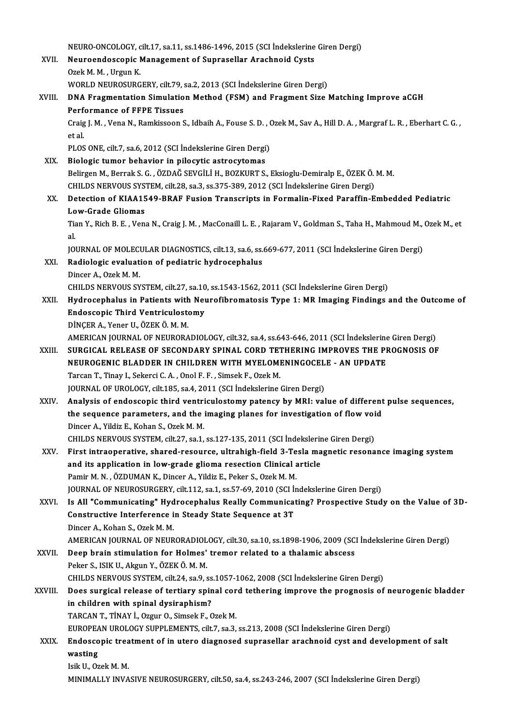NEURO-ONCOLOGY, cilt.17, sa.11, ss.1486-1496, 2015 (SCI İndekslerine Giren Dergi)<br>Neuroendossanis Managamant of Sunnasallar Arashnaid Gysts NEURO-ONCOLOGY, cilt.17, sa.11, ss.1486-1496, 2015 (SCI İndekslerine<br>XVII. Neuroendoscopic Management of Suprasellar Arachnoid Cysts NEURO-ONCOLOGY, c<br>Neuroendoscopic I<br>Ozek M. M. , Urgun K.<br>WOPLD NEUPOSUPC Neuroendoscopic Management of Suprasellar Arachnoid Cysts<br>Ozek M. M. , Urgun K.<br>WORLD NEUROSURGERY, cilt.79, sa.2, 2013 (SCI İndekslerine Giren Dergi) Ozek M. M. , Urgun K.<br>WORLD NEUROSURGERY, cilt.79, sa.2, 2013 (SCI İndekslerine Giren Dergi)<br>XVIII. DNA Fragmentation Simulation Method (FSM) and Fragment Size Matching Improve aCGH<br>Performance of FEBE Tissues WORLD NEUROSURGERY, cilt.79, s<br>DNA Fragmentation Simulatio<br>Performance of FFPE Tissues<br>Crais L.M., Vona N., Bamkissoon S DNA Fragmentation Simulation Method (FSM) and Fragment Size Matching Improve aCGH<br>Performance of FFPE Tissues<br>Craig J. M. , Vena N., Ramkissoon S., Idbaih A., Fouse S. D. , Ozek M., Sav A., Hill D. A. , Margraf L. R. , Ebe Perf<br>Craig<br>et al.<br>PLOS Craig J. M. , Vena N., Ramkissoon S., Idbaih A., Fouse S. D. , (<br>et al.<br>PLOS ONE, cilt.7, sa.6, 2012 (SCI İndekslerine Giren Dergi)<br>Pielogis tumer behavior in pilogytis astrogytemes et al.<br>PLOS ONE, cilt.7, sa.6, 2012 (SCI İndekslerine Giren Dergi)<br>XIX. Biologic tumor behavior in pilocytic astrocytomas PLOS ONE, cilt.7, sa.6, 2012 (SCI İndekslerine Giren Dergi)<br>Biologic tumor behavior in pilocytic astrocytomas<br>Belirgen M., Berrak S. G. , ÖZDAĞ SEVGİLİ H., BOZKURT S., Eksioglu-Demiralp E., ÖZEK Ö. M. M.<br>CHU DS NERVOUS SYS Biologic tumor behavior in pilocytic astrocytomas<br>Belirgen M., Berrak S. G. , ÖZDAĞ SEVGİLİ H., BOZKURT S., Eksioglu-Demiralp E., ÖZEK Ö.<br>CHILDS NERVOUS SYSTEM, cilt.28, sa.3, ss.375-389, 2012 (SCI İndekslerine Giren Dergi Belirgen M., Berrak S. G. , ÖZDAĞ SEVGİLİ H., BOZKURT S., Eksioglu-Demiralp E., ÖZEK Ö. M. M.<br>CHILDS NERVOUS SYSTEM, cilt.28, sa.3, ss.375-389, 2012 (SCI İndekslerine Giren Dergi)<br>XX. Detection of KIAA1549-BRAF Fusion Tran CHILDS NERVOUS SYS<br>Detection of KIAA15<br>Low-Grade Gliomas<br>Tian Y. Bish B. E. Ven Detection of KIAA1549-BRAF Fusion Transcripts in Formalin-Fixed Paraffin-Embedded Pediatric<br>Low-Grade Gliomas<br>Tian Y., Rich B. E. , Vena N., Craig J. M. , MacConaill L. E. , Rajaram V., Goldman S., Taha H., Mahmoud M., Oze Lo<br>Tia<br>IOI Tian Y., Rich B. E. , Vena N., Craig J. M. , MacConaill L. E. , Rajaram V., Goldman S., Taha H., Mahmoud M.,<br>al.<br>JOURNAL OF MOLECULAR DIAGNOSTICS, cilt.13, sa.6, ss.669-677, 2011 (SCI İndekslerine Giren Dergi)<br>Padialagia e al.<br>JOURNAL OF MOLECULAR DIAGNOSTICS, cilt.13, sa.6, ss.<br>XXI. Radiologic evaluation of pediatric hydrocephalus<br>Dinger A. Ozek M. M. **JOURNAL OF MOLECT<br>Radiologic evaluat:<br>Dincer A., Ozek M. M.<br>CHIL DS NEDVOUS SV** Radiologic evaluation of pediatric hydrocephalus<br>Dincer A., Ozek M. M.<br>CHILDS NERVOUS SYSTEM, cilt.27, sa.10, ss.1543-1562, 2011 (SCI İndekslerine Giren Dergi)<br>Hydnosophalus in Batianta with Nounefibrematesis Type 1: MB Im Dincer A., Ozek M. M.<br>CHILDS NERVOUS SYSTEM, cilt.27, sa.10, ss.1543-1562, 2011 (SCI Indekslerine Giren Dergi)<br>XXII. Hydrocephalus in Patients with Neurofibromatosis Type 1: MR Imaging Findings and the Outcome of<br>Endoscopi CHILDS NERVOUS SYSTEM, cilt.27, sa.10<br>Hydrocephalus in Patients with Neu<br>Endoscopic Third Ventriculostomy<br>DiNCEP A Vener IL ÖZEK Ö M M DİNÇERA.,YenerU.,ÖZEKÖ.M.M. Endoscopic Third Ventriculostomy<br>DİNÇER A., Yener U., ÖZEK Ö. M. M.<br>AMERICAN JOURNAL OF NEURORADIOLOGY, cilt.32, sa.4, ss.643-646, 2011 (SCI İndekslerine Giren Dergi)<br>SURCICAL RELEASE OF SECONDARY SPINAL CORD TETUERING IMP DINÇER A., Yener U., ÖZEK Ö. M. M.<br>AMERICAN JOURNAL OF NEURORADIOLOGY, cilt.32, sa.4, ss.643-646, 2011 (SCI İndekslerine Giren Dergi)<br>XXIII. SURGICAL RELEASE OF SECONDARY SPINAL CORD TETHERING IMPROVES THE PROGNOSIS OF AMERICAN JOURNAL OF NEURORADIOLOGY, cilt.32, sa.4, ss.643-646, 2011 (SCI İndekslerine<br>SURGICAL RELEASE OF SECONDARY SPINAL CORD TETHERING IMPROVES THE PI<br>NEUROGENIC BLADDER IN CHILDREN WITH MYELOMENINGOCELE - AN UPDATE<br>Tar SURGICAL RELEASE OF SECONDARY SPINAL CORD TET<br>NEUROGENIC BLADDER IN CHILDREN WITH MYELOMI<br>Tarcan T., Tinay I., Sekerci C.A. , Onol F. F. , Simsek F., Ozek M.<br>JOUPMAL OF UPOLOCY sik 195, se 4, 2011 (SCLIndekalering) NEUROGENIC BLADDER IN CHILDREN WITH MYELOMENINGOCELE - AN UPDATE<br>Tarcan T., Tinay I., Sekerci C. A. , Onol F. F. , Simsek F., Ozek M.<br>JOURNAL OF UROLOGY, cilt.185, sa.4, 2011 (SCI İndekslerine Giren Dergi) Tarcan T., Tinay I., Sekerci C. A., Onol F. F., Simsek F., Ozek M.<br>JOURNAL OF UROLOGY, cilt.185, sa.4, 2011 (SCI Indekslerine Giren Dergi)<br>XXIV. Analysis of endoscopic third ventriculostomy patency by MRI: value of differe JOURNAL OF UROLOGY, cilt.185, sa.4, 2011 (SCI İndekslerine Giren Dergi)<br>Analysis of endoscopic third ventriculostomy patency by MRI: value of different<br>the sequence parameters, and the imaging planes for investigation of f Analysis of endoscopic third ventrich<br>the sequence parameters, and the<br>Dincer A., Yildiz E., Kohan S., Ozek M. M.<br>CHILDS NERVOUS SYSTEM silt 27, 82.1 the sequence parameters, and the imaging planes for investigation of flow voi<br>Dincer A., Yildiz E., Kohan S., Ozek M. M.<br>CHILDS NERVOUS SYSTEM, cilt.27, sa.1, ss.127-135, 2011 (SCI İndekslerine Giren Dergi)<br>Finst intreaper Dincer A., Yildiz E., Kohan S., Ozek M. M.<br>CHILDS NERVOUS SYSTEM, cilt.27, sa.1, ss.127-135, 2011 (SCI İndekslerine Giren Dergi)<br>XXV. First intraoperative, shared-resource, ultrahigh-field 3-Tesla magnetic resonance imagin CHILDS NERVOUS SYSTEM, cilt.27, sa.1, ss.127-135, 2011 (SCI İndekslerir<br>First intraoperative, shared-resource, ultrahigh-field 3-Tesla ma<br>and its application in low-grade glioma resection Clinical article<br>Parin M.N., ÖZDIM First intraoperative, shared-resource, ultrahigh-field 3-Te<br>and its application in low-grade glioma resection Clinical a<br>Pamir M.N., ÖZDUMAN K., Dincer A., Yildiz E., Peker S., Ozek M. M.<br>JOUPMAL OF NEUPOSUPCEPY, silt 112, and its application in low-grade glioma resection Clinical article<br>Pamir M. N. , ÖZDUMAN K., Dincer A., Yildiz E., Peker S., Ozek M. M.<br>JOURNAL OF NEUROSURGERY, cilt.112, sa.1, ss.57-69, 2010 (SCI İndekslerine Giren Dergi) XXVI. Is All "Communicating" Hydrocephalus Really Communicating? Prospective Study on the Value of 3D-JOURNAL OF NEUROSURGERY, cilt.112, sa.1, ss.57-69, 2010 (SCI İn<br>Is All **"Communicating" Hydrocephalus Really Communicat**<br>Constructive Interference in Steady State Sequence at 3T<br>Dincer A. Keban S. Orek M. M **Is All "Communicating" Hyd<br>Constructive Interference i**<br>Dincer A., Kohan S., Ozek M. M.<br>AMERICAN IOURNAL OF NEUR Dincer A., Kohan S., Ozek M. M.<br>AMERICAN JOURNAL OF NEURORADIOLOGY, cilt.30, sa.10, ss.1898-1906, 2009 (SCI İndekslerine Giren Dergi) Dincer A., Kohan S., Ozek M. M.<br>AMERICAN JOURNAL OF NEURORADIOLOGY, cilt.30, sa.10, ss.1898-1906, 2009 (SC.<br>XXVII. Deep brain stimulation for Holmes' tremor related to a thalamic abscess AMERICAN JOURNAL OF NEURORADIOL<br>Deep brain stimulation for Holmes'<br>Peker S., ISIK U., Akgun Y., ÖZEK Ö. M. M.<br>CHU DS NEPVOUS SYSTEM, 611–24, 63 0, 6 Deep brain stimulation for Holmes' tremor related to a thalamic abscess<br>Peker S., ISIK U., Akgun Y., ÖZEK Ö. M. M.<br>CHILDS NERVOUS SYSTEM, cilt.24, sa.9, ss.1057-1062, 2008 (SCI İndekslerine Giren Dergi)<br>Dess surgisel releg Peker S., ISIK U., Akgun Y., ÖZEK Ö. M. M.<br>CHILDS NERVOUS SYSTEM, cilt.24, sa.9, ss.1057-1062, 2008 (SCI İndekslerine Giren Dergi)<br>XXVIII. Does surgical release of tertiary spinal cord tethering improve the prognosis of ne CHILDS NERVOUS SYSTEM, cilt.24, sa.9, ss<br>Does surgical release of tertiary spin<br>in children with spinal dysiraphism?<br>TABCAN T. TiNAY i. Ozzur Q. Simsek E. G Does surgical release of tertiary spinal cor<br>in children with spinal dysiraphism?<br>TARCAN T., TİNAY İ., Ozgur O., Simsek F., Ozek M.<br>FUROPEAN UROLOCY SUPPLEMENTS, silt 7, 22, 2 in children with spinal dysiraphism?<br>TARCAN T., TİNAY İ., Ozgur O., Simsek F., Ozek M.<br>EUROPEAN UROLOGY SUPPLEMENTS, cilt.7, sa.3, ss.213, 2008 (SCI İndekslerine Giren Dergi)<br>Endossenis treatment of in utare disspessed sun TARCAN T., TİNAY İ., Ozgur O., Simsek F., Ozek M.<br>EUROPEAN UROLOGY SUPPLEMENTS, cilt.7, sa.3, ss.213, 2008 (SCI İndekslerine Giren Dergi)<br>XXIX. Endoscopic treatment of in utero diagnosed suprasellar arachnoid cyst and EUROPEA<br>Endosco<br>wasting<br><sup>Ioik U</sup>. Oa Endoscopic trea<br>wasting<br>Isik U., Ozek M. M.<br>MINIMALLY INVA wasting<br>Isik U., Ozek M. M.<br>MINIMALLY INVASIVE NEUROSURGERY, cilt.50, sa.4, ss.243-246, 2007 (SCI İndekslerine Giren Dergi)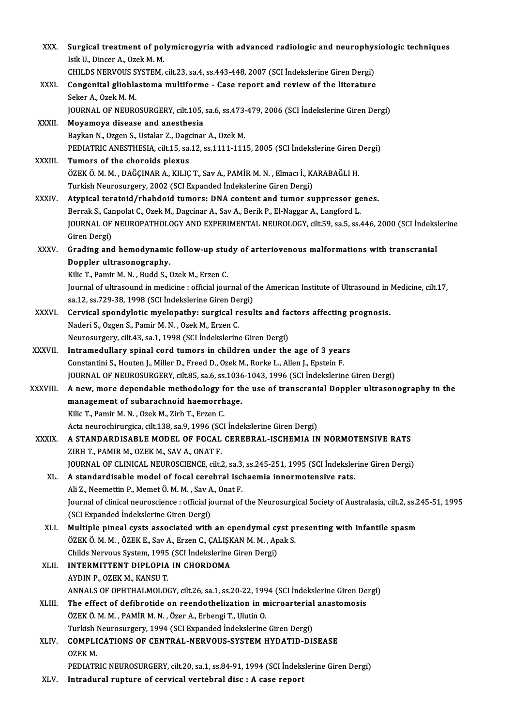| XXX.          | Surgical treatment of polymicrogyria with advanced radiologic and neurophysiologic techniques                                                  |
|---------------|------------------------------------------------------------------------------------------------------------------------------------------------|
|               | Isik U., Dincer A., Ozek M. M.                                                                                                                 |
|               | CHILDS NERVOUS SYSTEM, cilt.23, sa.4, ss.443-448, 2007 (SCI Indekslerine Giren Dergi)                                                          |
| XXXI.         | Congenital glioblastoma multiforme - Case report and review of the literature                                                                  |
|               | Seker A, Ozek M. M.                                                                                                                            |
|               | JOURNAL OF NEUROSURGERY, cilt.105, sa.6, ss.473-479, 2006 (SCI İndekslerine Giren Dergi)                                                       |
| XXXII.        | Moyamoya disease and anesthesia                                                                                                                |
|               | Baykan N., Ozgen S., Ustalar Z., Dagcinar A., Ozek M.                                                                                          |
|               | PEDIATRIC ANESTHESIA, cilt.15, sa.12, ss.1111-1115, 2005 (SCI İndekslerine Giren Dergi)                                                        |
| XXXIII.       | Tumors of the choroids plexus                                                                                                                  |
|               | ÖZEK Ö. M. M. , DAĞÇINAR A., KILIÇ T., Sav A., PAMİR M. N. , Elmacı İ., KARABAĞLI H.                                                           |
|               | Turkish Neurosurgery, 2002 (SCI Expanded İndekslerine Giren Dergi)                                                                             |
| <b>XXXIV</b>  | Atypical teratoid/rhabdoid tumors: DNA content and tumor suppressor genes.                                                                     |
|               | Berrak S., Canpolat C., Ozek M., Dagcinar A., Sav A., Berik P., El-Naggar A., Langford L.                                                      |
|               | JOURNAL OF NEUROPATHOLOGY AND EXPERIMENTAL NEUROLOGY, cilt.59, sa.5, ss.446, 2000 (SCI İndekslerine                                            |
|               | Giren Dergi)                                                                                                                                   |
| XXXV.         | Grading and hemodynamic follow-up study of arteriovenous malformations with transcranial                                                       |
|               | Doppler ultrasonography.                                                                                                                       |
|               | Kilic T., Pamir M. N., Budd S., Ozek M., Erzen C.                                                                                              |
|               | Journal of ultrasound in medicine : official journal of the American Institute of Ultrasound in Medicine, cilt.17,                             |
|               | sa.12, ss.729-38, 1998 (SCI İndekslerine Giren Dergi)                                                                                          |
| XXXVI.        | Cervical spondylotic myelopathy: surgical results and factors affecting prognosis.                                                             |
|               | Naderi S., Ozgen S., Pamir M. N., Ozek M., Erzen C.                                                                                            |
|               | Neurosurgery, cilt.43, sa.1, 1998 (SCI İndekslerine Giren Dergi)                                                                               |
| <b>XXXVII</b> | Intramedullary spinal cord tumors in children under the age of 3 years                                                                         |
|               | Constantini S., Houten J., Miller D., Freed D., Ozek M., Rorke L., Allen J., Epstein F.                                                        |
|               | JOURNAL OF NEUROSURGERY, cilt.85, sa.6, ss.1036-1043, 1996 (SCI İndekslerine Giren Dergi)                                                      |
| XXXVIII.      | A new, more dependable methodology for the use of transcranial Doppler ultrasonography in the                                                  |
|               | management of subarachnoid haemorrhage.                                                                                                        |
|               | Kilic T., Pamir M. N., Ozek M., Zirh T., Erzen C.                                                                                              |
|               | Acta neurochirurgica, cilt.138, sa.9, 1996 (SCI Indekslerine Giren Dergi)                                                                      |
| <b>XXXIX</b>  | A STANDARDISABLE MODEL OF FOCAL CEREBRAL-ISCHEMIA IN NORMOTENSIVE RATS                                                                         |
|               | ZIRH T., PAMIR M., OZEK M., SAV A., ONAT F.<br>JOURNAL OF CLINICAL NEUROSCIENCE, cilt.2, sa.3, ss.245-251, 1995 (SCI Indekslerine Giren Dergi) |
| XL.           | A standardisable model of focal cerebral ischaemia innormotensive rats.                                                                        |
|               | Ali Z., Neemettin P., Memet Ö. M. M., Sav A., Onat F.                                                                                          |
|               | Journal of clinical neuroscience : official journal of the Neurosurgical Society of Australasia, cilt.2, ss.245-51, 1995                       |
|               | (SCI Expanded İndekslerine Giren Dergi)                                                                                                        |
| XLI.          | Multiple pineal cysts associated with an ependymal cyst presenting with infantile spasm                                                        |
|               | ÖZEK Ö. M. M., ÖZEK E., Sav A., Erzen C., ÇALIŞKAN M. M., Apak S.                                                                              |
|               | Childs Nervous System, 1995 (SCI İndekslerine Giren Dergi)                                                                                     |
| XLII.         | INTERMITTENT DIPLOPIA IN CHORDOMA                                                                                                              |
|               | AYDIN P., OZEK M., KANSU T.                                                                                                                    |
|               | ANNALS OF OPHTHALMOLOGY, cilt.26, sa.1, ss.20-22, 1994 (SCI İndekslerine Giren Dergi)                                                          |
| XLIII.        | The effect of defibrotide on reendothelization in microarterial anastomosis                                                                    |
|               | ÖZEK Ö. M. M., PAMİR M. N., Özer A., Erbengi T., Ulutin O.                                                                                     |
|               | Turkish Neurosurgery, 1994 (SCI Expanded İndekslerine Giren Dergi)                                                                             |
| XLIV.         | <b>COMPLICATIONS OF CENTRAL-NERVOUS-SYSTEM HYDATID-DISEASE</b>                                                                                 |
|               | OZEK M.                                                                                                                                        |
|               | PEDIATRIC NEUROSURGERY, cilt.20, sa.1, ss.84-91, 1994 (SCI Indekslerine Giren Dergi)                                                           |
| XLV.          | Intradural rupture of cervical vertebral disc : A case report                                                                                  |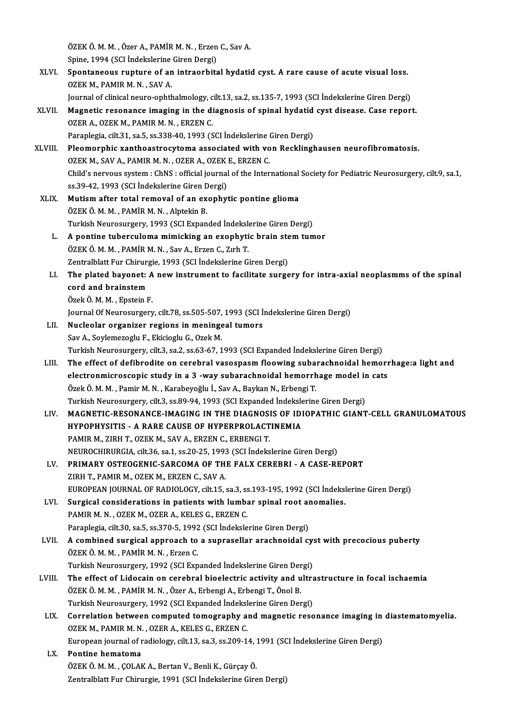ÖZEK Ö. M. M. , Özer A., PAMİR M. N. , Erzen C., Sav A.<br>Snine, 1994 (SSL İndekslarine Ciren Dergi) ÖZEK Ö. M. M. , Özer A., PAMİR M. N. , Erzen<br>Spine, 1994 (SCI İndekslerine Giren Dergi)<br>Spontanoous runture of an introenbite

Spine, 1994 (SCI İndekslerine Giren Dergi)

- XLVI. Spontaneous rupture of an intraorbital hydatid cyst. A rare cause of acute visual loss. Spontaneous rupture of an intraorbital hydatid cyst. A rare cause of acute visual loss.<br>OZEK M., PAMIR M. N. , SAV A.<br>Journal of clinical neuro-ophthalmology, cilt.13, sa.2, ss.135-7, 1993 (SCI İndekslerine Giren Dergi)<br>Ma OZEK M., PAMIR M. N. , SAV A.<br>Journal of clinical neuro-ophthalmology, cilt.13, sa.2, ss.135-7, 1993 (SCI Indekslerine Giren Dergi)<br>XLVII. Magnetic resonance imaging in the diagnosis of spinal hydatid cyst disease. Case re
	-
- Journal of clinical neuro-ophthalmology, c<br>Magnetic resonance imaging in the di<br>OZER A., OZEK M., PAMIR M.N., ERZEN C.<br>Paraplagia cilt 31, ca 5, ca 338, 40, 1993 (S Magnetic resonance imaging in the diagnosis of spinal hydatid<br>OZER A., OZEK M., PAMIR M. N. , ERZEN C.<br>Paraplegia, cilt.31, sa.5, ss.338-40, 1993 (SCI İndekslerine Giren Dergi)<br>Pleamarphic vanthoastrosytama associated with
- OZER A., OZEK M., PAMIR M. N. , ERZEN C.<br>Paraplegia, cilt.31, sa.5, ss.338-40, 1993 (SCI İndekslerine Giren Dergi)<br>XLVIII. Pleomorphic xanthoastrocytoma associated with von Recklinghausen neurofibromatosis.<br>OZEK M. SAV A. Paraplegia, cilt.31, sa.5, ss.338-40, 1993 (SCI İndekslerine (<br>Pleomorphic xanthoastrocytoma associated with vo<br>OZEK M., SAV A., PAMIR M. N. , OZER A., OZEK E., ERZEN C.<br>Child's nervous system : ChNS : official journal of Child's nervous system: ChNS : official journal of the International Society for Pediatric Neurosurgery, cilt.9, sa.1, ss.39-42, 1993 (SCI İndekslerine Giren Dergi) OZEK M., SAV A., PAMIR M. N., OZER A., OZEK E., ERZEN C.
- XLIX. Mutismafter total removal of an exophytic pontine glioma ÖZEKÖ.M.M. ,PAMİRM.N. ,AlptekinB. Mutism after total removal of an exophytic pontine glioma<br>ÖZEK Ö. M. M. , PAMİR M. N. , Alptekin B.<br>Turkish Neurosurgery, 1993 (SCI Expanded İndekslerine Giren Dergi)<br>A nontine tubergulama mimisking an exanhutis hnain atom ÖZEK Ö. M. M., PAMİR M. N., Alptekin B.<br>Turkish Neurosurgery, 1993 (SCI Expanded Indekslerine Giren Dergi)<br>L. A pontine tuberculoma mimicking an exophytic brain stem tumor<br>ÖZEK Ö. M. M. BAMİR M. N. Sov A. Error G. Zub T.
	- Turkish Neurosurgery, 1993 (SCI Expanded İndeksle<br>A pontine tuberculoma mimicking an exophyti<br>ÖZEK Ö. M. M. , PAMİR M. N. , Sav A., Erzen C., Zırh T.<br>Zantralblatt Eur Chirurgia 1992 (SCI İndekslerine G. A pontine tuberculoma mimicking an exophytic brain ste<br>ÖZEK Ö. M. M. , PAMİR M. N. , Sav A., Erzen C., Zırh T.<br>Zentralblatt Fur Chirurgie, 1993 (SCI İndekslerine Giren Dergi)<br>The plated havenat: A new instrument ta fasilit
	- ÖZEK Ö. M. M. , PAMİR M. N. , Sav A., Erzen C., Zırh T.<br>Zentralblatt Fur Chirurgie, 1993 (SCI İndekslerine Giren Dergi)<br>LI. The plated bayonet: A new instrument to facilitate surgery for intra-axial neoplasmms of the spina Zentralblatt Fur Chirur<br>The plated bayonet:<br>cord and brainstem<br>Örek Ö.M.M., Enstein I The plated bayonet: A<br>cord and brainstem<br>Özek Ö.M.M., Epstein F.<br>Journal Of Nourosursoru cord and brainstem<br>Özek Ö. M. M. , Epstein F.<br>Journal Of Neurosurgery, cilt.78, ss.505-507, 1993 (SCI İndekslerine Giren Dergi)
		-

- Özek Ö. M. M. , Epstein F.<br>Journal Of Neurosurgery, cilt.78, ss.505-507, 1993 (SCI İ:<br>LII. Nucleolar organizer regions in meningeal tumors<br>Say A. Saylamazaglu E. Ekisiaglu C. Ozek M Journal Of Neurosurgery, cilt.78, ss.505-507,<br>Nucleolar organizer regions in meninge<br>Sav A., Soylemezoglu F., Ekicioglu G., Ozek M.<br>Turkich Neurosurgery, silt 3, ss.3, ss.63, 67, 1 Sav A., Soylemezoglu F., Ekicioglu G., Ozek M.<br>Turkish Neurosurgery, cilt.3, sa.2, ss.63-67, 1993 (SCI Expanded İndekslerine Giren Dergi) Sav A., Soylemezoglu F., Ekicioglu G., Ozek M.<br>Turkish Neurosurgery, cilt.3, sa.2, ss.63-67, 1993 (SCI Expanded Indekslerine Giren Dergi)<br>LIII. The effect of defibrodite on cerebral vasospasm floowing subarachnoidal hemorr
- Turkish Neurosurgery, cilt.3, sa.2, ss.63-67, 1993 (SCI Expanded İndekslerine Giren Dergi)<br>The effect of defibrodite on cerebral vasospasm floowing subarachnoidal hemorr<br>electronmicroscopic study in a 3 -way subarachnoidal The effect of defibrodite on cerebral vasospasm floowing subarelectronmicroscopic study in a 3 -way subarachnoidal hemorrh<br>Özek Ö.M.M., Pamir M.N., Karabeyoğlu İ., Sav A., Baykan N., Erbengi T.<br>Turkish Neurosurgery, silt 2 electronmicroscopic study in a 3 -way subarachnoidal hemorrhage model in<br>Özek Ö. M. M. , Pamir M. N. , Karabeyoğlu İ., Sav A., Baykan N., Erbengi T.<br>Turkish Neurosurgery, cilt.3, ss.89-94, 1993 (SCI Expanded İndekslerine G
- Özek Ö. M. M. , Pamir M. N. , Karabeyoğlu İ., Sav A., Baykan N., Erbengi T.<br>Turkish Neurosurgery, cilt.3, ss.89-94, 1993 (SCI Expanded İndekslerine Giren Dergi)<br>LIV. MAGNETIC-RESONANCE-IMAGING IN THE DIAGNOSIS OF IDIOPATHI Turkish Neurosurgery, cilt.3, ss.89-94, 1993 (SCI Expanded Indeksle<br>MAGNETIC-RESONANCE-IMAGING IN THE DIAGNOSIS OF IDI<br>HYPOPHYSITIS - A RARE CAUSE OF HYPERPROLACTINEMIA<br>RAMIR M. ZIRH T. OZEK M. SAV A. ERZEN.C. ERRENCLT. PAMIR M., ZIRH T., OZEK M., SAV A., ERZEN C., ERBENGI T. NEUROCHIRURGIA, cilt.36, sa.1, ss.20-25, 1993 (SCI İndekslerine Giren Dergi)
- LV. PRIMARY OSTEOGENIC-SARCOMA OF THE FALX CEREBRI A CASE-REPORT ZIRH T., PAMIR M., OZEK M., ERZEN C., SAV A. EUROPEAN JOURNAL OF RADIOLOGY, cilt.15, sa.3, ss.193-195, 1992 (SCI İndekslerine Giren Dergi) ZIRH T., PAMIR M., OZEK M., ERZEN C., SAV A.<br>EUROPEAN JOURNAL OF RADIOLOGY, cilt.15, sa.3, ss.193-195, 1992 (SCI Indeksl<br>LVI. Surgical considerations in patients with lumbar spinal root anomalies.
- PAMIR M. N., OZEK M., OZER A., KELES G., ERZEN C.<br>Paraplegia, cilt.30, sa.5, ss.370-5, 1992 (SCI İndekslerine Giren Dergi) Surgical considerations in patients with lumbar spinal root an<br>PAMIR M. N. , OZEK M., OZER A., KELES G., ERZEN C.<br>Paraplegia, cilt.30, sa.5, ss.370-5, 1992 (SCI İndekslerine Giren Dergi)<br>A sambinad surgical annraach ta a s
- LVII. A combined surgical approach to a suprasellar arachnoidal cyst with precocious puberty ÖZEKÖ.M.M. ,PAMİRM.N. ,ErzenC. A combined surgical approach to a suprasellar arachnoidal cy:<br>ÖZEK Ö. M. M. , PAMİR M. N. , Erzen C.<br>Turkish Neurosurgery, 1992 (SCI Expanded İndekslerine Giren Dergi)<br>The effect of Lidesain en serebral bioelectric estivit
	-
- ÖZEK Ö. M. M. , PAMİR M. N. , Erzen C.<br>Turkish Neurosurgery, 1992 (SCI Expanded Indekslerine Giren Dergi)<br>LVIII. The effect of Lidocain on cerebral bioelectric activity and ultrastructure in focal ischaemia<br>ÖZEK Ö. M. M. P Turkish Neurosurgery, 1992 (SCI Expanded İndekslerine Giren Der<br>The effect of Lidocain on cerebral bioelectric activity and u<br>ÖZEK Ö. M. M. , PAMİR M. N. , Özer A., Erbengi A., Erbengi T., Önol B.<br>Turkish Neurosurgery, 199 The effect of Lidocain on cerebral bioelectric activity and ultra<br>ÖZEK Ö. M. M. , PAMİR M. N. , Özer A., Erbengi A., Erbengi T., Önol B.<br>Turkish Neurosurgery, 1992 (SCI Expanded İndekslerine Giren Dergi)<br>Correlation betwee ÖZEK Ö. M. M. , PAMİR M. N. , Özer A., Erbengi A., Erbengi T., Önol B.<br>Turkish Neurosurgery, 1992 (SCI Expanded Indekslerine Giren Dergi)<br>LIX. Correlation between computed tomography and magnetic resonance imaging in diast
- Turkish Neurosurgery, 1992 (SCI Expanded Indekslerine Giren Dergi)<br>Correlation between computed tomography and magnetic reso<br>OZEK M., PAMIR M. N. , OZER A., KELES G., ERZEN C. Correlation between computed tomography and magnetic resonance imaging in<br>OZEK M., PAMIR M. N. , OZER A., KELES G., ERZEN C.<br>European journal of radiology, cilt.13, sa.3, ss.209-14, 1991 (SCI İndekslerine Giren Dergi)<br>Pont European journal of radiology, cilt.13, sa.3, ss.209-14, 1991 (SCI İndekslerine Giren Dergi)
- LX. Pontine hematoma Zentralblatt Fur Chirurgie, 1991 (SCI İndekslerine Giren Dergi)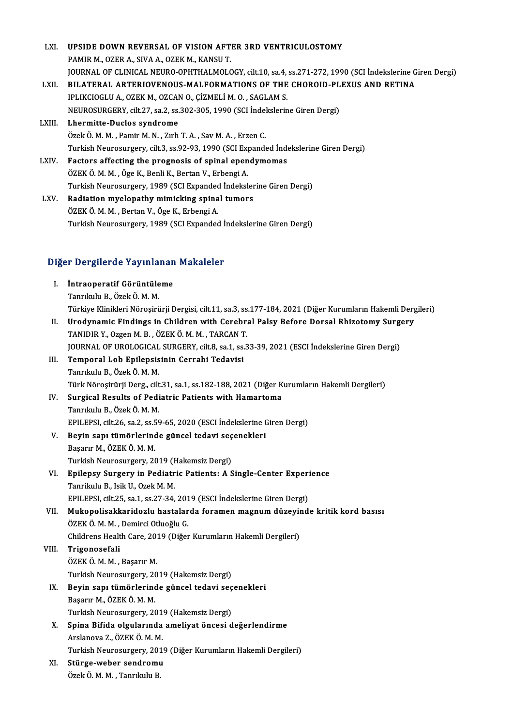| LXI.   | UPSIDE DOWN REVERSAL OF VISION AFTER 3RD VENTRICULOSTOMY                                                |
|--------|---------------------------------------------------------------------------------------------------------|
|        | PAMIR M., OZER A., SIVA A., OZEK M., KANSU T.                                                           |
|        | JOURNAL OF CLINICAL NEURO-OPHTHALMOLOGY, cilt.10, sa.4, ss.271-272, 1990 (SCI Indekslerine Giren Dergi) |
| LXII.  | BILATERAL ARTERIOVENOUS-MALFORMATIONS OF THE CHOROID-PLEXUS AND RETINA                                  |
|        | IPLIKCIOGLU A., OZEK M., OZCAN O., ÇİZMELİ M. O., SAGLAM S.                                             |
|        | NEUROSURGERY, cilt.27, sa.2, ss.302-305, 1990 (SCI Indekslerine Giren Dergi)                            |
| LXIII. | Lhermitte-Duclos syndrome                                                                               |
|        | Özek Ö. M. M., Pamir M. N., Zırh T. A., Sav M. A., Erzen C.                                             |
|        | Turkish Neurosurgery, cilt.3, ss.92-93, 1990 (SCI Expanded İndekslerine Giren Dergi)                    |
| LXIV.  | Factors affecting the prognosis of spinal ependymomas                                                   |
|        | ÖZEK Ö. M. M., Öge K., Benli K., Bertan V., Erbengi A.                                                  |
|        | Turkish Neurosurgery, 1989 (SCI Expanded İndekslerine Giren Dergi)                                      |
| LXV.   | Radiation myelopathy mimicking spinal tumors                                                            |
|        | ÖZEK Ö. M. M., Bertan V., Öge K., Erbengi A.                                                            |
|        | Turkish Neurosurgery, 1989 (SCI Expanded Indekslerine Giren Dergi)                                      |
|        |                                                                                                         |

# 1 urkish Neurosurgery, 1989 (SCI Expanded 1<br>Diğer Dergilerde Yayınlanan Makaleler

| Diğer Dergilerde Yayınlanan Makaleler |                                                                                                              |  |
|---------------------------------------|--------------------------------------------------------------------------------------------------------------|--|
| - I. -                                | Intraoperatif Görüntüleme                                                                                    |  |
|                                       | Tanrıkulu B., Özek Ö. M. M.                                                                                  |  |
|                                       | Türkiye Klinikleri Nörosirürji Dergisi, cilt.11, sa.3, ss.177-184, 2021 (Diğer Kurumların Hakemli Dergileri) |  |
| Н.                                    | Urodynamic Findings in Children with Cerebral Palsy Before Dorsal Rhizotomy Surgery                          |  |
|                                       | <b>TANIDID V. Ozgon M. D. ÖZEV Ö M. M. TADCAN T.</b>                                                         |  |

TANIDIRY.,OzgenM.B. ,ÖZEKÖ.M.M. ,TARCANT. JOURNAL OF UROLOGICAL SURGERY, cilt.8, sa.1, ss.33-39, 2021 (ESCI İndekslerine Giren Dergi) TANIDIR Y., Ozgen M. B., ÖZEK Ö. M. M., TARCAN T<br>JOURNAL OF UROLOGICAL SURGERY, cilt8, sa.1, ss.<br>III. Temporal Lob Epilepsisinin Cerrahi Tedavisi JOURNAL OF UROLOGICAL<br><mark>Temporal Lob Epilepsis</mark><br>Tanrıkulu B., Özek Ö. M. M.<br>Türk Nörosinürii Dorg, silt Temporal Lob Epilepsisinin Cerrahi Tedavisi<br>Tanrıkulu B., Özek Ö. M. M.<br>Türk Nöroşirürji Derg., cilt.31, sa.1, ss.182-188, 2021 (Diğer Kurumların Hakemli Dergileri)<br>Sungical Besulta of Bodiatria Batianta with Hamartama

## Tanrıkulu B., Özek Ö. M. M.<br>Türk Nöroşirürji Derg., cilt.31, sa.1, ss.182-188, 2021 (Diğer K<br>IV. Surgical Results of Pediatric Patients with Hamartoma<br>Tanrıkılı B. Özek Ö. M. M Surgical Results of Pediatric Patients with Hamartoma<br>Tanrıkulu B., Özek Ö. M. M. Surgical Results of Pediatric Patients with Hamartoma<br>Tanrıkulu B., Özek Ö. M. M.<br>EPILEPSI, cilt.26, sa.2, ss.59-65, 2020 (ESCI İndekslerine Giren Dergi)<br>Beyin sanı tümörlerinde güneel tedevi sesenekleri Tanrıkulu B., Özek Ö. M. M.<br>EPILEPSI, cilt.26, sa.2, ss.59-65, 2020 (ESCI İndekslerine (<br>V. Beyin sapı tümörlerinde güncel tedavi seçenekleri<br>Besanır M. ÖZEK Ö. M. M.

EPILEPSI, cilt.26, sa.2, ss.5<br>Beyin sapı tümörlerind<br>Başarır M., ÖZEK Ö. M. M.<br>Turkich Neurosungeru. 20 Beyin sapı tümörlerinde güncel tedavi seç<br>Başarır M., ÖZEK Ö. M. M.<br>Turkish Neurosurgery, 2019 (Hakemsiz Dergi)<br>Enilanev Surgery in Bediatrie Betiante: A S Başarır M., ÖZEK Ö. M. M.<br>Turkish Neurosurgery, 2019 (Hakemsiz Dergi)<br>VI. Epilepsy Surgery in Pediatric Patients: A Single-Center Experience<br>Tenrimly B. Jaik II. Orek M. M.

### Turkish Neurosurgery, 2019 (I<br><mark>Epilepsy Surgery in Pediatr</mark><br>Tanrikulu B., Isik U., Ozek M. M.<br>FPU FPSL cilt 25, co.1, co.27, 24. Epilepsy Surgery in Pediatric Patients: A Single-Center Experi<br>Tanrikulu B., Isik U., Ozek M. M.<br>EPILEPSI, cilt.25, sa.1, ss.27-34, 2019 (ESCI İndekslerine Giren Dergi)<br>Mukanalisakkaridarlu baştalarda faraman masnum dürevi Tanrikulu B., Isik U., Ozek M. M.<br>EPILEPSI, cilt.25, sa.1, ss.27-34, 2019 (ESCI İndekslerine Giren Dergi)<br>VII. Mukopolisakkaridozlu hastalarda foramen magnum düzeyinde kritik kord basısı ÖZEKÖ.M.M., Demirci Otluoğlu G. Mukopolisakkaridozlu hastalarda foramen magnum düzeyir<br>ÖZEK Ö. M. M. , Demirci Otluoğlu G.<br>Childrens Health Care, 2019 (Diğer Kurumların Hakemli Dergileri)<br>Trigonosofoli

## VIII. Trigonosefali<br>ÖZEK Ö. M. M., Başarır M. Childrens Health Care, 2013<br>Trigonosefali<br>ÖZEK Ö. M. M. , Başarır M.<br>Turkish Neurosurgerw. 20

Turkish Neurosurgery, 2019 (Hakemsiz Dergi)

## ÖZEK Ö. M. M. , Başarır M.<br>Turkish Neurosurgery, 2019 (Hakemsiz Dergi)<br>IX. Beyin sapı tümörlerinde güncel tedavi seçenekleri<br>Basarır M. ÖZEK Ö. M. M Turkish Neurosurgery, 20<br>Beyin sapı tümörlerind<br>Başarır M., ÖZEK Ö. M. M.<br>Turkish Neurosurgery, 20 Beyin sapı tümörlerinde güncel tedavi seç<br>Başarır M., ÖZEK Ö. M. M.<br>Turkish Neurosurgery, 2019 (Hakemsiz Dergi)<br>Snine Bifide olayılarında ameliyat öneggi d

Başarır M., ÖZEK Ö. M. M.<br>Turkish Neurosurgery, 2019 (Hakemsiz Dergi)<br>X. Spina Bifida olgularında ameliyat öncesi değerlendirme<br>Arelaneva 7. ÖZEK Ö. M. M. Turkish Neurosurgery, 201<br>Spina Bifida olgularında<br>Arslanova Z., ÖZEK Ö. M. M.<br>Turkish Neurosurgery, 201 Spina Bifida olgularında ameliyat öncesi değerlendirme<br>Arslanova Z., ÖZEK Ö. M. M.<br>Turkish Neurosurgery, 2019 (Diğer Kurumların Hakemli Dergileri)<br>Stürge weber sandnemu

Arslanova Z., ÖZEK Ö. M. M.<br>Turkish Neurosurgery, 201<br>XI. Stürge-weber sendromu<br>Özek Ö. M. M. , Tanrıkulu B. Turkish Neurosurgery, 201<br><mark>Stürge-weber sendrom</mark>u<br>Özek Ö. M. M. , Tanrıkulu B.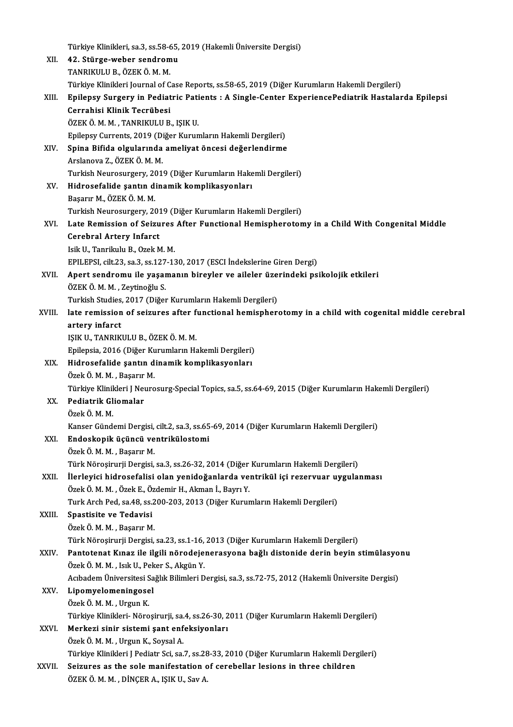|        | Türkiye Klinikleri, sa.3, ss.58-65, 2019 (Hakemli Üniversite Dergisi)                                    |
|--------|----------------------------------------------------------------------------------------------------------|
| XII.   | 42. Stürge-weber sendromu                                                                                |
|        | TANRIKULU B., ÖZEK Ö. M. M.                                                                              |
|        | Türkiye Klinikleri Journal of Case Reports, ss.58-65, 2019 (Diğer Kurumların Hakemli Dergileri)          |
| XIII.  | Epilepsy Surgery in Pediatric Patients : A Single-Center ExperiencePediatrik Hastalarda Epilepsi         |
|        | Cerrahisi Klinik Tecrübesi                                                                               |
|        | ÖZEK Ö. M. M., TANRIKULU B., IŞIK U.                                                                     |
|        | Epilepsy Currents, 2019 (Diğer Kurumların Hakemli Dergileri)                                             |
| XIV.   | Spina Bifida olgularında ameliyat öncesi değerlendirme                                                   |
|        | Arslanova Z, ÖZEK Ö M M.                                                                                 |
|        | Turkish Neurosurgery, 2019 (Diğer Kurumların Hakemli Dergileri)                                          |
| XV.    | Hidrosefalide şantın dinamik komplikasyonları                                                            |
|        | Başarır M., ÖZEK Ö. M. M.                                                                                |
|        | Turkish Neurosurgery, 2019 (Diğer Kurumların Hakemli Dergileri)                                          |
| XVI.   | Late Remission of Seizures After Functional Hemispherotomy in a Child With Congenital Middle             |
|        | <b>Cerebral Artery Infarct</b>                                                                           |
|        | Isik U., Tanrikulu B., Ozek M. M.                                                                        |
|        | EPILEPSI, cilt.23, sa.3, ss.127-130, 2017 (ESCI Indekslerine Giren Dergi)                                |
| XVII.  | Apert sendromu ile yaşamanın bireyler ve aileler üzerindeki psikolojik etkileri                          |
|        | ÖZEK Ö. M. M., Zeytinoğlu S.                                                                             |
|        | Turkish Studies, 2017 (Diğer Kurumların Hakemli Dergileri)                                               |
| XVIII. | late remission of seizures after functional hemispherotomy in a child with cogenital middle cerebral     |
|        | artery infarct                                                                                           |
|        | IŞIK U., TANRIKULU B., ÖZEK Ö. M. M.                                                                     |
|        | Epilepsia, 2016 (Diğer Kurumların Hakemli Dergileri)                                                     |
| XIX.   | Hidrosefalide şantın dinamik komplikasyonları                                                            |
|        | Özek Ö. M. M., Başarır M.                                                                                |
|        | Türkiye Klinikleri J Neurosurg-Special Topics, sa.5, ss.64-69, 2015 (Diğer Kurumların Hakemli Dergileri) |
| XX.    | Pediatrik Gliomalar                                                                                      |
|        | Özek Ö. M. M.                                                                                            |
|        | Kanser Gündemi Dergisi, cilt.2, sa.3, ss.65-69, 2014 (Diğer Kurumların Hakemli Dergileri)                |
| XXI.   | Endoskopik üçüncü ventrikülostomi                                                                        |
|        | Özek Ö. M. M., Başarır M.                                                                                |
|        | Türk Nöroşirurji Dergisi, sa.3, ss.26-32, 2014 (Diğer Kurumların Hakemli Dergileri)                      |
| XXII.  | İlerleyici hidrosefalisi olan yenidoğanlarda ventrikül içi rezervuar uygulanması                         |
|        | Özek Ö. M. M., Özek E., Özdemir H., Akman İ., Bayrı Y.                                                   |
|        | Turk Arch Ped, sa.48, ss.200-203, 2013 (Diğer Kurumların Hakemli Dergileri)                              |
| XXIII. | Spastisite ve Tedavisi                                                                                   |
|        | Özek Ö. M. M., Başarır M.                                                                                |
|        | Türk Nöroşirurji Dergisi, sa.23, ss.1-16, 2013 (Diğer Kurumların Hakemli Dergileri)                      |
| XXIV.  | Pantotenat Kınaz ile ilgili nörodejenerasyona bağlı distonide derin beyin stimülasyonu                   |
|        | Özek ÖMM, Isık U, Peker S, Akgün Y.                                                                      |
|        | Acıbadem Üniversitesi Sağlık Bilimleri Dergisi, sa.3, ss.72-75, 2012 (Hakemli Üniversite Dergisi)        |
| XXV.   | Lipomyelomeningosel                                                                                      |
|        | Özek Ö. M. M., Urgun K.                                                                                  |
|        | Türkiye Klinikleri- Nöroşirurji, sa.4, ss.26-30, 2011 (Diğer Kurumların Hakemli Dergileri)               |
| XXVI.  | Merkezi sinir sistemi şant enfeksiyonları                                                                |
|        | Özek Ö. M. M., Urgun K., Soysal A.                                                                       |
|        | Türkiye Klinikleri J Pediatr Sci, sa.7, ss.28-33, 2010 (Diğer Kurumların Hakemli Dergileri)              |
| XXVII. | Seizures as the sole manifestation of cerebellar lesions in three children                               |
|        | ÖZEK Ö. M. M. , DİNÇER A., IŞIK U., Sav A.                                                               |
|        |                                                                                                          |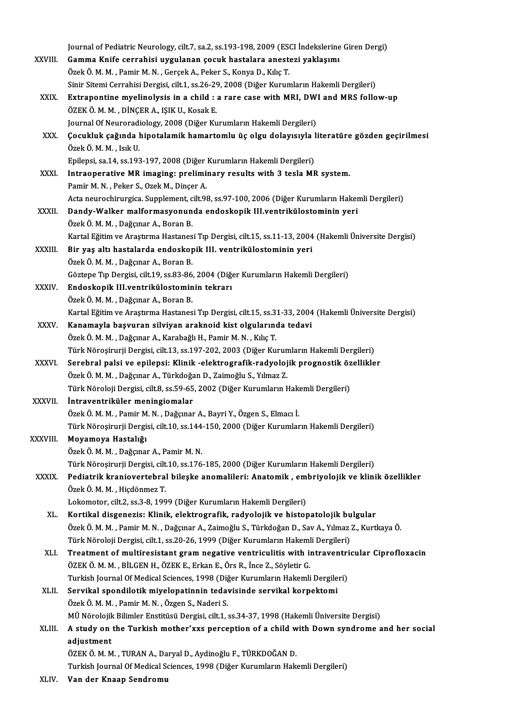|              | Journal of Pediatric Neurology, cilt.7, sa.2, ss.193-198, 2009 (ESCI Indekslerine Giren Dergi)                                                                                            |
|--------------|-------------------------------------------------------------------------------------------------------------------------------------------------------------------------------------------|
| XXVIII.      | Gamma Knife cerrahisi uygulanan çocuk hastalara anestezi yaklaşımı                                                                                                                        |
|              | Özek Ö. M. M., Pamir M. N., Gerçek A., Peker S., Konya D., Kılıç T.                                                                                                                       |
|              | Sinir Sitemi Cerrahisi Dergisi, cilt.1, ss.26-29, 2008 (Diğer Kurumların Hakemli Dergileri)                                                                                               |
| XXIX.        | Extrapontine myelinolysis in a child : a rare case with MRI, DWI and MRS follow-up                                                                                                        |
|              | ÖZEK Ö. M. M., DİNÇER A., IŞIK U., Kosak E.                                                                                                                                               |
|              | Journal Of Neuroradiology, 2008 (Diğer Kurumların Hakemli Dergileri)                                                                                                                      |
| XXX.         | Çocukluk çağında hipotalamik hamartomlu üç olgu dolayısıyla literatüre gözden geçirilmesi                                                                                                 |
|              | Özek Ö M M , Isık U                                                                                                                                                                       |
|              | Epilepsi, sa.14, ss.193-197, 2008 (Diğer Kurumların Hakemli Dergileri)                                                                                                                    |
| XXXI.        | Intraoperative MR imaging: preliminary results with 3 tesla MR system.                                                                                                                    |
|              | Pamir M. N., Peker S., Ozek M., Dinçer A.                                                                                                                                                 |
|              | Acta neurochirurgica. Supplement, cilt.98, ss.97-100, 2006 (Diğer Kurumların Hakemli Dergileri)                                                                                           |
| XXXII.       | Dandy-Walker malformasyonunda endoskopik III.ventrikülostominin yeri                                                                                                                      |
|              | Özek Ö. M. M., Dağçınar A., Boran B.                                                                                                                                                      |
| XXXIII.      | Kartal Eğitim ve Araştırma Hastanesi Tıp Dergisi, cilt.15, ss.11-13, 2004 (Hakemli Üniversite Dergisi)<br>Bir yaş altı hastalarda endoskopik III. ventrikülostominin yeri                 |
|              | Özek Ö. M. M., Dağçınar A., Boran B.                                                                                                                                                      |
|              | Göztepe Tıp Dergisi, cilt.19, ss.83-86, 2004 (Diğer Kurumların Hakemli Dergileri)                                                                                                         |
| XXXIV.       | Endoskopik III.ventrikülostominin tekrarı                                                                                                                                                 |
|              | Özek Ö. M. M. , Dağçınar A., Boran B.                                                                                                                                                     |
|              | Kartal Eğitim ve Araştırma Hastanesi Tıp Dergisi, cilt.15, ss.31-33, 2004 (Hakemli Üniversite Dergisi)                                                                                    |
| XXXV.        | Kanamayla başvuran silviyan araknoid kist olgularında tedavi                                                                                                                              |
|              | Özek Ö. M. M. , Dağçınar A., Karabağlı H., Pamir M. N. , Kılıç T.                                                                                                                         |
|              | Türk Nöroşirurji Dergisi, cilt.13, ss.197-202, 2003 (Diğer Kurumların Hakemli Dergileri)                                                                                                  |
| <b>XXXVI</b> | Serebral palsi ve epilepsi: Klinik -elektrografik-radyolojik prognostik özellikler                                                                                                        |
|              | Özek Ö. M. M. , Dağçınar A., Türkdoğan D., Zaimoğlu S., Yılmaz Z.                                                                                                                         |
|              | Türk Nöroloji Dergisi, cilt.8, ss.59-65, 2002 (Diğer Kurumların Hakemli Dergileri)                                                                                                        |
| XXXVII.      | Intraventriküler meningiomalar                                                                                                                                                            |
|              | Özek Ö. M. M. , Pamir M. N. , Dağçınar A., Bayri Y., Özgen S., Elmacı İ.                                                                                                                  |
|              | Türk Nöroşirurji Dergisi, cilt.10, ss.144-150, 2000 (Diğer Kurumların Hakemli Dergileri)                                                                                                  |
| XXXVIII.     | Moyamoya Hastalığı                                                                                                                                                                        |
|              | Özek Ö. M. M., Dağçınar A., Pamir M. N.                                                                                                                                                   |
|              | Türk Nöroşirurji Dergisi, cilt.10, ss.176-185, 2000 (Diğer Kurumların Hakemli Dergileri)                                                                                                  |
| XXXIX.       | Pediatrik kraniovertebral bileşke anomalileri: Anatomik, embriyolojik ve klinik özellikler                                                                                                |
|              | Özek Ö. M. M., Hiçdönmez T.                                                                                                                                                               |
|              | Lokomotor, cilt.2, ss.3-8, 1999 (Diğer Kurumların Hakemli Dergileri)                                                                                                                      |
| XL.          | Kortikal disgenezis: Klinik, elektrografik, radyolojik ve histopatolojik bulgular<br>Özek Ö. M. M. , Pamir M. N. , Dağçınar A., Zaimoğlu S., Türkdoğan D., Sav A., Yılmaz Z., Kurtkaya Ö. |
|              | Türk Nöroloji Dergisi, cilt.1, ss.20-26, 1999 (Diğer Kurumların Hakemli Dergileri)                                                                                                        |
| XLI.         | Treatment of multiresistant gram negative ventriculitis with intraventricular Ciprofloxacin                                                                                               |
|              | ÖZEK Ö. M. M., BİLGEN H., ÖZEK E., Erkan E., Örs R., İnce Z., Söyletir G.                                                                                                                 |
|              | Turkish Journal Of Medical Sciences, 1998 (Diğer Kurumların Hakemli Dergileri)                                                                                                            |
| XLII.        | Servikal spondilotik miyelopatinnin tedavisinde servikal korpektomi                                                                                                                       |
|              | Özek Ö. M. M., Pamir M. N., Özgen S., Naderi S.                                                                                                                                           |
|              | MÜ Nörolojik Bilimler Enstitüsü Dergisi, cilt.1, ss.34-37, 1998 (Hakemli Üniversite Dergisi)                                                                                              |
| XLIII.       | A study on the Turkish mother'xxs perception of a child with Down syndrome and her social                                                                                                 |
|              | adjustment                                                                                                                                                                                |
|              | ÖZEK Ö. M. M. , TURAN A., Daryal D., Aydinoğlu F., TÜRKDOĞAN D.                                                                                                                           |
|              | Turkish Journal Of Medical Sciences, 1998 (Diğer Kurumların Hakemli Dergileri)                                                                                                            |
| VI IV        | Van dan Vnoan Canduamu                                                                                                                                                                    |

XLIV. Van der Knaap Sendromu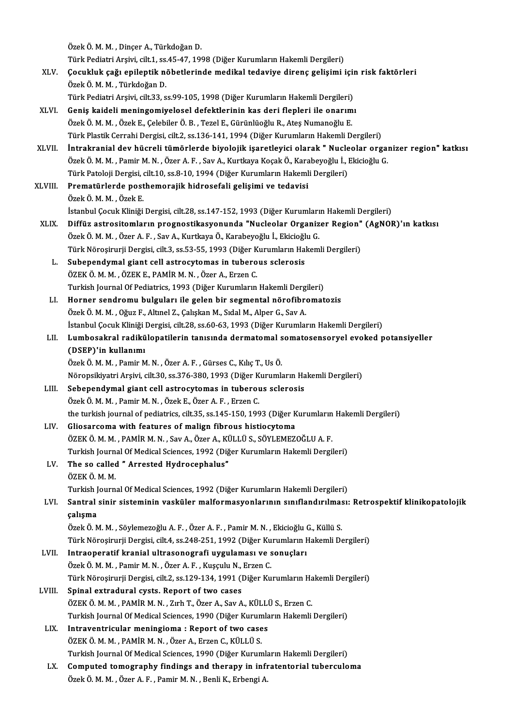ÖzekÖ.M.M. ,DinçerA.,TürkdoğanD. Özek Ö. M. M. , Dinçer A., Türkdoğan D.<br>Türk Pediatri Arşivi, cilt.1, ss.45-47, 1998 (Diğer Kurumların Hakemli Dergileri)<br>Cesukluk sağı epilentik nöhetlerinde medikal tedeviye dinene selicimi i XLV. Çocukluk çağı epileptik nöbetlerindemedikal tedaviye direnç gelişimi için risk faktörleri Türk Pediatri Arşivi, cilt.1, ss.<br>**Çocukluk çağı epileptik n**<br>Özek Ö. M. M. , Türkdoğan D.<br>Türk Pediatri Arsivi, silt.<sup>2.2</sup>, s Çocukluk çağı epileptik nöbetlerinde medikal tedaviye direnç gelişimi için<br>Özek Ö. M. M. , Türkdoğan D.<br>Türk Pediatri Arşivi, cilt.33, ss.99-105, 1998 (Diğer Kurumların Hakemli Dergileri)<br>Conis kaideli meningemiyelerel def Özek Ö. M. M. , Türkdoğan D.<br>Türk Pediatri Arşivi, cilt.33, ss.99-105, 1998 (Diğer Kurumların Hakemli Dergileri)<br>XLVI. Geniş kaideli meningomiyelosel defektlerinin kas deri flepleri ile onarımı<br>Özek Ö. M. M. Özek E. Celebi Türk Pediatri Arşivi, cilt.33, ss.99-105, 1998 (Diğer Kurumların Hakemli Dergileri)<br>Geniş kaideli meningomiyelosel defektlerinin kas deri flepleri ile onarım<br>Özek Ö. M. M. , Özek E., Çelebiler Ö. B. , Tezel E., Gürünlüoğlu Geniş kaideli meningomiyelosel defektlerinin kas deri flepleri ile onarımı<br>Özek Ö. M. M. , Özek E., Çelebiler Ö. B. , Tezel E., Gürünlüoğlu R., Ateş Numanoğlu E.<br>Türk Plastik Cerrahi Dergisi, cilt.2, ss.136-141, 1994 (Diğe Özek Ö. M. M. , Özek E., Çelebiler Ö. B. , Tezel E., Gürünlüoğlu R., Ateş Numanoğlu E.<br>Türk Plastik Cerrahi Dergisi, cilt.2, ss.136-141, 1994 (Diğer Kurumların Hakemli Dergileri)<br>XLVII. İntrakranial dev hücreli tümörlerde Türk Plastik Cerrahi Dergisi, cilt.2, ss.136-141, 1994 (Diğer Kurumların Hakemli Dergileri)<br>İntrakranial dev hücreli tümörlerde biyolojik işaretleyici olarak " Nucleolar orgal<br>Özek Ö. M. M. , Pamir M. N. , Özer A. F. , Sav İntrakranial dev hücreli tümörlerde biyolojik işaretleyici olarak " Nucle<br>Özek Ö. M. M. , Pamir M. N. , Özer A. F. , Sav A., Kurtkaya Koçak Ö., Karabeyoğlu İ., I<br>Türk Patoloji Dergisi, cilt.10, ss.8-10, 1994 (Diğer Kurumla XLVIII. Prematürlerde posthemorajik hidrosefali gelişimi ve tedavisi<br>Özek Ö. M. M. , Özek E. Türk Patoloji Dergisi, cilt.10, ss.8-10, 1994 (Diğer Kurumların Hakemli Dergileri) İstanbul Çocuk Kliniği Dergisi, cilt.28, ss.147-152, 1993 (Diğer Kurumların Hakemli Dergileri) XLIX. Diffüz astrositomların prognostikasyonunda "Nucleolar Organizer Region" (AgNOR)'ın katkısı İstanbul Çocuk Kliniği Dergisi, cilt.28, ss.147-152, 1993 (Diğer Kurumları<br>Diffüz astrositomların prognostikasyonunda "Nucleolar Organiz<br>Özek Ö. M. M. , Özer A. F. , Sav A., Kurtkaya Ö., Karabeyoğlu İ., Ekicioğlu G.<br>Türk N Diffüz astrositomların prognostikasyonunda "Nucleolar Organizer Region"<br>Özek Ö. M. M. , Özer A. F. , Sav A., Kurtkaya Ö., Karabeyoğlu İ., Ekicioğlu G.<br>Türk Nöroşirurji Dergisi, cilt.3, ss.53-55, 1993 (Diğer Kurumların Hake Özek Ö. M. M. , Özer A. F. , Sav A., Kurtkaya Ö., Karabeyoğlu İ., Ekicioğl<br>Türk Nöroşirurji Dergisi, cilt.3, ss.53-55, 1993 (Diğer Kurumların Hal<br>L. Subependymal giant cell astrocytomas in tuberous sclerosis<br>ÖZEK Ö.M. M. Ö Türk Nöroşirurji Dergisi, cilt.3, ss.53-55, 1993 (Diğer Kurumların Hakemli Dergileri)<br>Subependymal giant cell astrocytomas in tuberous sclerosis<br>ÖZEK Ö. M. M. , ÖZEK E., PAMİR M. N. , Özer A., Erzen C. Subependymal giant cell astrocytomas in tuberous sclerosis<br>ÖZEK Ö. M. M. , ÖZEK E., PAMİR M. N. , Özer A., Erzen C.<br>Turkish Journal Of Pediatrics, 1993 (Diğer Kurumların Hakemli Dergileri)<br>Harner sendremu bulsuleru ile sel ÖZEK Ö. M. M. , ÖZEK E., PAMİR M. N. , Özer A., Erzen C.<br>Turkish Journal Of Pediatrics, 1993 (Diğer Kurumların Hakemli Dergileri)<br>LI. Horner sendromu bulguları ile gelen bir segmental nörofibromatozis<br>Özek Ö. M. M. Oğuz E. Turkish Journal Of Pediatrics, 1993 (Diğer Kurumların Hakemli Derg.<br>Horner sendromu bulguları ile gelen bir segmental nörofibro.<br>Özek Ö. M. M. , Oğuz F., Altınel Z., Çalışkan M., Sıdal M., Alper G., Sav A.<br>İstanbul Cosuk K Horner sendromu bulguları ile gelen bir segmental nörofibromatozis<br>Özek Ö. M. M. , Oğuz F., Altınel Z., Çalışkan M., Sıdal M., Alper G., Sav A.<br>İstanbul Çocuk Kliniği Dergisi, cilt.28, ss.60-63, 1993 (Diğer Kurumların Hake Özek Ö. M. M. , Oğuz F., Altınel Z., Çalışkan M., Sıdal M., Alper G., Sav A.<br>İstanbul Çocuk Kliniği Dergisi, cilt.28, ss.60-63, 1993 (Diğer Kurumların Hakemli Dergileri)<br>LII. Lumbosakral radikülopatilerin tanısında der İstanbul Çocuk Kliniği |<br>Lumbosakral radikü<br>(DSEP)'in kullanımı<br>Özek Ö.M.M., Bəmir M Lumbosakral radikülopatilerin tanısında dermatomal s<br>(DSEP)'in kullanımı<br>Özek Ö.M.M., Pamir M.N., Özer A.F., Gürses C., Kılıç T., Us Ö.<br>Nöropsikivatri Arsivi silt 20.ss 276.290.1992 (Dižor Kurumlı (DSEP)'in kullanımı<br>Özek Ö. M. M. , Pamir M. N. , Özer A. F. , Gürses C., Kılıç T., Us Ö.<br>Nöropsikiyatri Arsivi, cilt.30, ss.376-380, 1993 (Diğer Kurumların Hakemli Dergileri) LIII. Sebependymal giant cell astrocytomas in tuberous sclerosis ÖzekÖ.M.M. ,PamirM.N. ,ÖzekE.,ÖzerA.F. ,ErzenC. Sebependymal giant cell astrocytomas in tuberous sclerosis<br>Özek Ö. M. M. , Pamir M. N. , Özek E., Özer A. F. , Erzen C.<br>the turkish journal of pediatrics, cilt.35, ss.145-150, 1993 (Diğer Kurumların Hakemli Dergileri)<br>Clie Özek Ö. M. M. , Pamir M. N. , Özek E., Özer A. F. , Erzen C.<br>the turkish journal of pediatrics, cilt.35, ss.145-150, 1993 (Diğer K<br>LIV. Gliosarcoma with features of malign fibrous histiocytoma<br>ÖZEK Ö. M. M. PAMIP M. N. Say the turkish journal of pediatrics, cilt.35, ss.145-150, 1993 (Diğer Kurumların<br>Gliosarcoma with features of malign fibrous histiocytoma<br>ÖZEK Ö. M. M. , PAMİR M. N. , Sav A., Özer A., KÜLLÜ S., SÖYLEMEZOĞLU A. F.<br>Turkish Jo Gliosarcoma with features of malign fibrous histiocytoma<br>ÖZEK Ö. M. M. , PAMİR M. N. , Sav A., Özer A., KÜLLÜ S., SÖYLEMEZOĞLU A. F.<br>Turkish Journal Of Medical Sciences, 1992 (Diğer Kurumların Hakemli Dergileri)<br>The se sal LV. The so called " Arrested Hydrocephalus"<br>ÖZEK Ö. M. M. Turkish Journal Of Medical Sciences, 1992 (Diğer Kurumların Hakemli Dergileri) The so called " Arrested Hydrocephalus"<br>ÖZEK Ö. M. M.<br>Turkish Journal Of Medical Sciences, 1992 (Diğer Kurumların Hakemli Dergileri)<br>Sentral sinin sisteminin vesküler malformasyonlarının sınıflandırılması: LVI. Santral sinir sisteminin vasküler malformasyonlarının sınıflandırılması: Retrospektif klinikopatolojik Turkish J<br>Santral<br>çalışma<br>Özek Ö. A Santral sinir sisteminin vasküler malformasyonlarının sınıflandırılmas<br>çalışma<br>Özek Ö. M. M. , Söylemezoğlu A. F. , Özer A. F. , Pamir M. N. , Ekicioğlu G., Küllü S.<br>Türk Nörosirurii Dergisi silt 4, ss 249, 251, 1992 (Diğe çalışma<br>Özek Ö. M. M. , Söylemezoğlu A. F. , Özer A. F. , Pamir M. N. , Ekicioğlu G., Küllü S.<br>Türk Nöroşirurji Dergisi, cilt.4, ss.248-251, 1992 (Diğer Kurumların Hakemli Dergileri)<br>Intreeneratif kranjal ultresenegrefi uy Özek Ö. M. M. , Söylemezoğlu A. F. , Özer A. F. , Pamir M. N. , Ekicioğlu (<br>Türk Nöroşirurji Dergisi, cilt.4, ss.248-251, 1992 (Diğer Kurumların I<br>LVII. Intraoperatif kranial ultrasonografi uygulaması ve sonuçları<br>Özek Ö. Türk Nöroşirurji Dergisi, cilt.4, ss.248-251, 1992 (Diğer Ku<br>Intraoperatif kranial ultrasonografi uygulaması ve s<br>Özek Ö. M. M. , Pamir M. N. , Özer A. F. , Kuşçulu N., Erzen C.<br>Türk Nörosirurji Dergisi, silt 2, ss.129, 12 Intraoperatif kranial ultrasonografi uygulaması ve sonuçları<br>Özek Ö. M. M. , Pamir M. N. , Özer A. F. , Kuşçulu N., Erzen C.<br>Türk Nöroşirurji Dergisi, cilt.2, ss.129-134, 1991 (Diğer Kurumların Hakemli Dergileri)<br>Sninal ex Özek Ö. M. M. , Pamir M. N. , Özer A. F. , Kuşçulu N.,<br>Türk Nöroşirurji Dergisi, cilt.2, ss.129-134, 1991 (I<br>LVIII. Spinal extradural cysts. Report of two cases<br>ÖZEK Ö. M. M. BAMİB M. N. Zub T. ÖZEK A. Sov.A Türk Nöroşirurji Dergisi, cilt.2, ss.129-134, 1991 (Diğer Kurumların Ha<br>Spinal extradural cysts. Report of two cases<br>ÖZEK Ö. M. M. , PAMİR M. N. , Zırh T., Özer A., Sav A., KÜLLÜ S., Erzen C.<br>Turkish Journal Of Modisal Ssi Spinal extradural cysts. Report of two cases<br>ÖZEK Ö. M. M. , PAMİR M. N. , Zırh T., Özer A., Sav A., KÜLLÜ S., Erzen C.<br>Turkish Journal Of Medical Sciences, 1990 (Diğer Kurumların Hakemli Dergileri) ÖZEK Ö. M. M. , PAMİR M. N. , Zırh T., Özer A., Sav A., KÜLLI<br>Turkish Journal Of Medical Sciences, 1990 (Diğer Kurumla<br>LIX. Intraventricular meningioma : Report of two cases<br>ÖZEK Ö. M. M. PAMİR M. N. ÖZER A. EFFOR G. KÜLLÜ Turkish Journal Of Medical Sciences, 1990 (Diğer Kurum<br>Intraventricular meningioma : Report of two case<br>ÖZEK Ö. M. M. , PAMİR M. N. , Özer A., Erzen C., KÜLLÜ S.<br>Turkish Journal Of Medical Sciences, 1990 (Dižer Kurur Intraventricular meningioma : Report of two cases<br>ÖZEK Ö. M. M. , PAMİR M. N. , Özer A., Erzen C., KÜLLÜ S.<br>Turkish Journal Of Medical Sciences, 1990 (Diğer Kurumların Hakemli Dergileri)<br>Computed tomography findings and th ÖZEK Ö. M. M. , PAMİR M. N. , Özer A., Erzen C., KÜLLÜ S.<br>Turkish Journal Of Medical Sciences, 1990 (Diğer Kurumların Hakemli Dergileri)<br>LX. Computed tomography findings and therapy in infratentorial tuberculoma<br>Özek Ö Turkish Journal Of Medical Sciences, 1990 (Diğer Kuruml:<br><mark>Computed tomography findings and therapy in infr</mark><br>Özek Ö. M. M. , Özer A. F. , Pamir M. N. , Benli K., Erbengi A.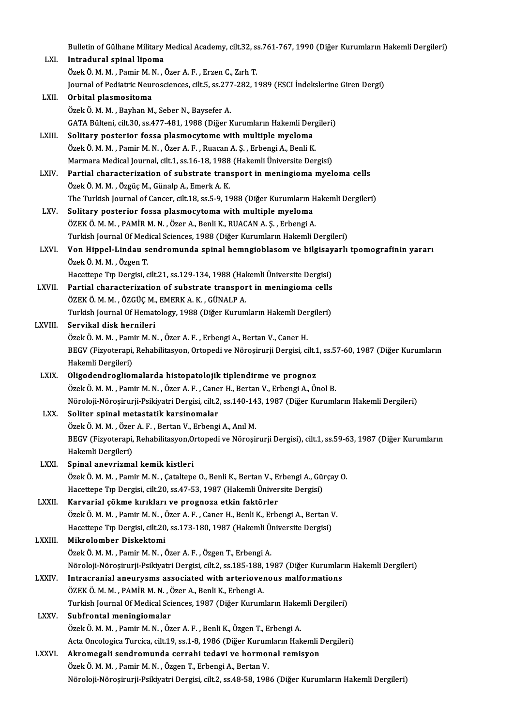Bulletin of Gülhane Military Medical Academy, cilt.32, ss.761-767, 1990 (Diğer Kurumların Hakemli Dergileri)<br>Intradural eninal lineme Bulletin of Gülhane Military<br>LXI. **Intradural spinal lipoma**<br>Özek Ö.M.M. Pemin M.N. d Bulletin of Gülhane Military Medical Academy, cilt.32, s:<br>I**ntradural spinal lipoma**<br>Özek Ö. M. M. , Pamir M. N. , Özer A. F. , Erzen C., Zırh T.<br>Journal of Bediatria Nouroggionees, silt 5, se 277, 282, 1 Intradural spinal lipoma<br>Özek Ö. M. M. , Pamir M. N. , Özer A. F. , Erzen C., Zırh T.<br>Journal of Pediatric Neurosciences, cilt.5, ss.277-282, 1989 (ESCI İndekslerine Giren Dergi)<br>Orbital plasmesitame Özek Ö. M. M. , Pamir M. N. , Özer A. F. , Erzen C., Zırh T.<br>Journal of Pediatric Neurosciences, cilt.5, ss.277-282, 1<br>LXII. **Orbital plasmositoma**<br>Özek Ö. M. M. , Bayhan M., Seber N., Baysefer A. Journal of Pediatric Neurosciences, cilt.5, ss.277<br>Orbital plasmositoma<br>Özek Ö. M. M. , Bayhan M., Seber N., Baysefer A.<br>CATA Pültoni, cilt.30, ss.477, 491, 1999 (Dižor k Orbital plasmositoma<br>Özek Ö. M. M. , Bayhan M., Seber N., Baysefer A.<br>GATA Bülteni, cilt.30, ss.477-481, 1988 (Diğer Kurumların Hakemli Dergileri)<br>Selitery pesterior fossa plasmosyteme with multiple myeleme Özek Ö. M. M. , Bayhan M., Seber N., Baysefer A.<br>GATA Bülteni, cilt.30, ss.477-481, 1988 (Diğer Kurumların Hakemli Der<br>LXIII. Solitary posterior fossa plasmocytome with multiple myeloma<br>Özek Ö. M. M. Bemir M. N. Özer A. E. GATA Bülteni, cilt.30, ss.477-481, 1988 (Diğer Kurumların Hakemli Derg<br>Solitary posterior fossa plasmocytome with multiple myeloma<br>Özek Ö. M. M. , Pamir M. N. , Özer A. F. , Ruacan A. Ş. , Erbengi A., Benli K.<br>Marmara Modi Solitary posterior fossa plasmocytome with multiple myeloma<br>Özek Ö. M. M. , Pamir M. N. , Özer A. F. , Ruacan A. Ş. , Erbengi A., Benli K.<br>Marmara Medical Journal, cilt.1, ss.16-18, 1988 (Hakemli Üniversite Dergisi)<br>Partia Özek Ö. M. M. , Pamir M. N. , Özer A. F. , Ruacan A. Ş. , Erbengi A., Benli K.<br>Marmara Medical Journal, cilt.1, ss.16-18, 1988 (Hakemli Üniversite Dergisi)<br>LXIV. Partial characterization of substrate transport in meningiom Marmara Medical Journal, cilt.1, ss.16-18, 1988<br>**Partial characterization of substrate tran**<br>Özek Ö. M. M. , Özgüç M., Günalp A., Emerk A. K.<br>The Turkish Journal of Cansor, silt 18, ss.5, 9, 19 The Turkish Journal of Cancer, cilt.18, ss.5-9, 1988 (Diğer Kurumların Hakemli Dergileri) LXV. Solitary posterior fossa plasmocytoma with multiple myeloma ÖZEKÖ.M.M. ,PAMİRM.N. ,ÖzerA.,BenliK.,RUACANA.Ş. ,ErbengiA. Solitary posterior fossa plasmocytoma with multiple myeloma<br>ÖZEK Ö. M. M. , PAMİR M. N. , Özer A., Benli K., RUACAN A. Ş. , Erbengi A.<br>Turkish Journal Of Medical Sciences, 1988 (Diğer Kurumların Hakemli Dergileri)<br>Ven Hinn ÖZEK Ö. M. M. , PAMİR M. N. , Özer A., Benli K., RUACAN A. Ş. , Erbengi A.<br>Turkish Journal Of Medical Sciences, 1988 (Diğer Kurumların Hakemli Dergileri)<br>LXVI. Von Hippel-Lindau sendromunda spinal hemngioblasom ve bilg Turkish Journal Of Med<br>**Von Hippel-Lindau s**<br>Özek Ö. M. M. , Özgen T.<br>Hassttana Tın Darsisi Von Hippel-Lindau sendromunda spinal hemngioblasom ve bilgisay<br>Özek Ö. M. M. , Özgen T.<br>Hacettepe Tıp Dergisi, cilt.21, ss.129-134, 1988 (Hakemli Üniversite Dergisi)<br>Partial sharasterisstion of substrate transport in manin Özek Ö. M. M. , Özgen T.<br>Hacettepe Tıp Dergisi, cilt.21, ss.129-134, 1988 (Hakemli Üniversite Dergisi)<br>LXVII. Partial characterization of substrate transport in meningioma cells<br>ÖZEK Ö. M. M. ÖZCÜC M. EMERK A. K. CÜNALR A. Hacettepe Tıp Dergisi, cilt.21, ss.129-134, 1988 (Hal<br>Partial characterization of substrate transpor<br>ÖZEK Ö. M. M. , ÖZGÜÇ M., EMERK A. K. , GÜNALP A.<br>Turkish Journal Of Hamatalagy, 1988 (Diğar Kurum Partial characterization of substrate transport in meningioma cells<br>ÖZEK Ö. M. M. , ÖZGÜÇ M., EMERK A. K. , GÜNALP A.<br>Turkish Journal Of Hematology, 1988 (Diğer Kurumların Hakemli Dergileri)<br>Servikal disk bernileri ÖZEK Ö. M. M. , ÖZGÜÇ M., EMERK A. K. , GÜNALP A.<br>Turkish Journal Of Hematology, 1988 (Diğer Kurumların Hakemli Dergileri)<br>LXVIII. Servikal disk hernileri Turkish Journal Of Hematology, 1988 (Diğer Kurumların Hakemli Der<br>Servikal disk hernileri<br>Özek Ö. M. M. , Pamir M. N. , Özer A. F. , Erbengi A., Bertan V., Caner H.<br>PECV (Eigysterani, Bebabilitasyon, Ortonodi ve Nörosinyri BEGV (Fizyoterapi, Rehabilitasyon, Ortopedi ve Nöroşirurji Dergisi, cilt.1, ss.57-60, 1987 (Diğer Kurumların Hakemli Dergileri) Özek Ö. M. M. , Pam<br>BEGV (Fizyoterapi,<br>Hakemli Dergileri)<br>Oligodendreglieri LXIX. Oligodendrogliomalarda histopatolojik tiplendirme ve prognoz ÖzekÖ.M.M. ,PamirM.N. ,ÖzerA.F. ,CanerH.,BertanV.,ErbengiA.,ÖnolB. Oligodendrogliomalarda histopatolojik tiplendirme ve prognoz<br>Özek Ö. M. M. , Pamir M. N. , Özer A. F. , Caner H., Bertan V., Erbengi A., Önol B.<br>Nöroloji-Nöroşirurji-Psikiyatri Dergisi, cilt.2, ss.140-143, 1987 (Diğer Kuru LXX. Soliter spinal metastatik karsinomalar<br>Özek Ö. M. M. , Özer A. F. , Bertan V., Erbengi A., Anıl M. Nöroloji-Nöroşirurji-Psikiyatri Dergisi, cilt.2, ss.140-14<br>Soliter spinal metastatik karsinomalar<br>Özek Ö. M. M. , Özer A. F. , Bertan V., Erbengi A., Anıl M.<br>PECV (Figyatorani, Bohabilitasyon Ortonodi ve Nörosi) Soliter spinal metastatik karsinomalar<br>Özek Ö. M. M. , Özer A. F. , Bertan V., Erbengi A., Anıl M.<br>BEGV (Fizyoterapi, Rehabilitasyon,Ortopedi ve Nöroşirurji Dergisi), cilt.1, ss.59-63, 1987 (Diğer Kurumların<br>Hakamli Dergil Özek Ö. M. M. , Özer<br>BEGV (Fizyoterapi,<br>Hakemli Dergileri)<br>Sninal anevrisme BEGV (Fizyoterapi, Rehabilitasyon,O:<br>Hakemli Dergileri)<br>LXXI. Spinal anevrizmal kemik kistleri<br>Özel:ÖMM Bomin MN Cateltane Hakemli Dergileri)<br>Spinal anevrizmal kemik kistleri<br>Özek Ö. M. M. , Pamir M. N. , Çataltepe O., Benli K., Bertan V., Erbengi A., Gürçay O.<br>Hasattana Tın Dengisi, silt 20. ss 47,52, 1997 (Haltemli Üniversite Dengisi) Spinal anevrizmal kemik kistleri<br>Özek Ö. M. M. , Pamir M. N. , Çataltepe O., Benli K., Bertan V., Erbengi A., Gün<br>Hacettepe Tıp Dergisi, cilt.20, ss.47-53, 1987 (Hakemli Üniversite Dergisi)<br>Kanyanial gölme kınıkları ve pro Özek Ö. M. M. , Pamir M. N. , Çataltepe O., Benli K., Bertan V., E.<br>Hacettepe Tıp Dergisi, cilt.20, ss.47-53, 1987 (Hakemli Üniver<br>LXXII. Karvarial çökme kırıkları ve prognoza etkin faktörler<br>Özek Ö. M. M. Bamir M. N. Özer Hacettepe Tıp Dergisi, cilt.20, ss.47-53, 1987 (Hakemli Üniversite Dergisi)<br>**Karvarial çökme kırıkları ve prognoza etkin faktörler**<br>Özek Ö. M. M. , Pamir M. N. , Özer A. F. , Caner H., Benli K., Erbengi A., Bertan V.<br>Haset Karvarial çökme kırıkları ve prognoza etkin faktörler<br>Özek Ö. M. M. , Pamir M. N. , Özer A. F. , Caner H., Benli K., Erbengi A., Bertan V.<br>Hacettepe Tıp Dergisi, cilt.20, ss.173-180, 1987 (Hakemli Üniversite Dergisi)<br>Mikro Özek Ö. M. M. , Pamir M. N. , Ö.<br>Hacettepe Tıp Dergisi, cilt.20<br>LXXIII. Mikrolomber Diskektomi Hacettepe Tıp Dergisi, cilt.20, ss.173-180, 1987 (Hakemli Üniversite Dergisi)<br>Mikrolomber Diskektomi<br>Özek Ö. M. M. , Pamir M. N. , Özer A. F. , Özgen T., Erbengi A. Mikrolomber Diskektomi<br>Özek Ö. M. M. , Pamir M. N. , Özer A. F. , Özgen T., Erbengi A.<br>Nöroloji-Nöroşirurji-Psikiyatri Dergisi, cilt.2, ss.185-188, 1987 (Diğer Kurumların Hakemli Dergileri)<br>Intraeranial aneuryems assosited LXXIV. Intracranial aneurysms associated with arteriovenous malformations<br>ÖZEK Ö. M. M., PAMİR M. N., Özer A., Benli K., Erbengi A. Nöroloji-Nöroşirurji-Psikiyatri Dergisi, cilt.2, ss.185-188,<br>Intracranial aneurysms associated with arteriovel<br>ÖZEK Ö. M. M. , PAMİR M. N. , Özer A., Benli K., Erbengi A.<br>Turkish Journal Of Modisel Sciences, 1987 (Dižer Ku Turkish Journal Of Medical Sciences, 1987 (Diğer Kurumların Hakemli Dergileri) LXXV. Subfrontal meningiomalar Özek Ö. M. M., Pamir M. N., Özer A. F., Benli K., Özgen T., Erbengi A. Subfrontal meningiomalar<br>Özek Ö. M. M. , Pamir M. N. , Özer A. F. , Benli K., Özgen T., Erbengi A.<br>Acta Oncologica Turcica, cilt.19, ss.1-8, 1986 (Diğer Kurumların Hakemli Dergileri)<br>Akromogali sandromunda esarabi tedevi v Özek Ö. M. M. , Pamir M. N. , Özer A. F. , Benli K., Özgen T., Erbengi A.<br>Acta Oncologica Turcica, cilt.19, ss.1-8, 1986 (Diğer Kurumların Hakemli I<br>LXXVI. Akromegali sendromunda cerrahi tedavi ve hormonal remisyon<br>Özek Ö. Acta Oncologica Turcica, cilt.19, ss.1-8, 1986 (Diğer Kurum<br><mark>Akromegali sendromunda cerrahi tedavi ve hormo</mark><br>Özek Ö. M. M. , Pamir M. N. , Özgen T., Erbengi A., Bertan V.<br>Näroloji Närosinunji Pojkiyotri Dergisi, silt 2, ss Akromegali sendromunda cerrahi tedavi ve hormonal remisyon<br>Özek Ö. M. M. , Pamir M. N. , Özgen T., Erbengi A., Bertan V.<br>Nöroloji-Nöroşirurji-Psikiyatri Dergisi, cilt.2, ss.48-58, 1986 (Diğer Kurumların Hakemli Dergileri)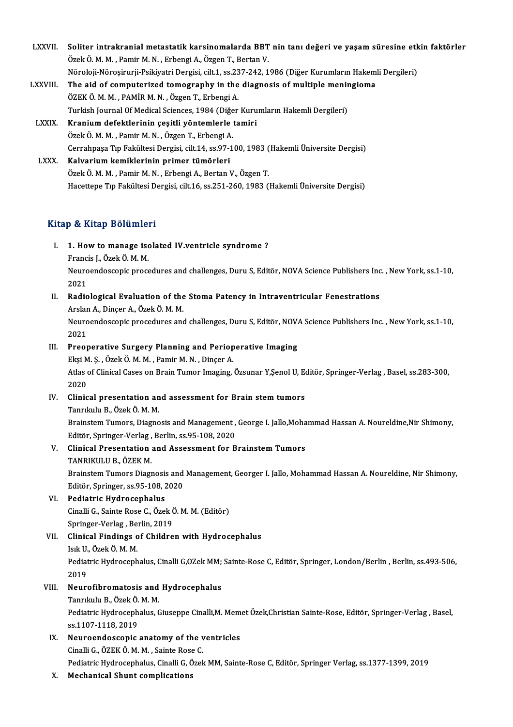LXXVII. Soliter intrakranial metastatik karsinomalarda BBT nin tanı değeri ve yaşam süresine etkin faktörler<br>Özek Ö. M. M. Pemin M.N. Erbengi A. Özgen T. Perten V. Soliter intrakranial metastatik karsinomalarda BBT<br>Özek Ö.M.M., Pamir M.N., Erbengi A., Özgen T., Bertan V.<br>Näroleji Närosinunij Peikivetri Dergisi, sik 1, se 227, 242, 1 Soliter intrakranial metastatik karsinomalarda BBT nin tanı değeri ve yaşam süresine etk<br>Özek Ö. M. M. , Pamir M. N. , Erbengi A., Özgen T., Bertan V.<br>Nöroloji-Nöroşirurji-Psikiyatri Dergisi, cilt.1, ss.237-242, 1986 (Diğe Özek Ö. M. M. , Pamir M. N. , Erbengi A., Özgen T., Bertan V.<br>Nöroloji-Nöroşirurji-Psikiyatri Dergisi, cilt.1, ss.237-242, 1986 (Diğer Kurumların Hakem<br>LXXVIII. The aid of computerized tomography in the diagnosis of multip Nöroloji-Nöroşirurji-Psikiyatri Dergisi, cilt.1, ss.237-242, 1986 (Diğer Kurumların Hakemli Dergileri)<br>The aid of computerized tomography in the diagnosis of multiple meningioma<br>ÖZEK Ö. M. M. , PAMİR M. N. , Özgen T., Erbe The aid of computerized tomography in the diagnosis of multiple menir<br>ÖZEK Ö. M. M. , PAMİR M. N. , Özgen T., Erbengi A.<br>Turkish Journal Of Medical Sciences, 1984 (Diğer Kurumların Hakemli Dergileri)<br>Kranjum defektlerinin ÖZEK Ö. M. M. , PAMİR M. N. , Özgen T., Erbengi A.<br>Turkish Journal Of Medical Sciences, 1984 (Diğer Kuru<br>LXXIX. Kranium defektlerinin çeşitli yöntemlerle tamiri<br>Özgen T. Erbengi A Turkish Journal Of Medical Sciences, 1984 (Diğe<br>Kranium defektlerinin çeşitli yöntemlerle<br>Özek Ö.M.M. , Pamir M.N. , Özgen T., Erbengi A. Kranium defektlerinin çeşitli yöntemlerle tamiri<br>Özek Ö. M. M. , Pamir M. N. , Özgen T., Erbengi A.<br>Cerrahpaşa Tıp Fakültesi Dergisi, cilt.14, ss.97-100, 1983 (Hakemli Üniversite Dergisi)<br>Kalvarium kamiklerinin primer tümö Özek Ö. M. M. , Pamir M. N. , Özgen T., Erbengi A.<br>Cerrahpaşa Tıp Fakültesi Dergisi, cilt.14, ss.97-100, 1983 (<br>LXXX. Kalvarium kemiklerinin primer tümörleri<br>Özek Ö. M. M. , Pamir M. N. , Erbengi A., Bertan V., Özgen T. Cerrahpaşa Tıp Fakültesi Dergisi, cilt.14, ss.97-100, 1983 (<br>**Kalvarium kemiklerinin primer tümörleri**<br>Özek Ö. M. M. , Pamir M. N. , Erbengi A., Bertan V., Özgen T.<br>Hasettana Tın Fakültesi Dergisi, silt 16, ss.251, 260, 19 Hacettepe Tıp Fakültesi Dergisi, cilt.16, ss.251-260, 1983 (Hakemli Üniversite Dergisi)

#### Kitap & Kitap Bölümleri

- Itap & Kitap Bölümleri<br>I. 1. How to manage isolated IV.ventricle syndrome ?<br>Francis L Özek Ö.M.M Francis J., Özek Ö.M.M.<br>1. How to manage iso<br>Francis J., Özek Ö.M.M. Neuroendoscopic procedures and challenges, Duru S, Editör, NOVA Science Publishers Inc. , New York, ss.1-10, 2021 Francis J., Özek Ö. M. M. Neuroendoscopic procedures and challenges, Duru S, Editör, NOVA Science Publishers Inc<br>2021<br>II. Radiological Evaluation of the Stoma Patency in Intraventricular Fenestrations<br>Arclan A. Dincer A. Özek Ö. M. M.
- 2021<br><mark>Radiological Evaluation of the</mark><br>Arslan A., Dinçer A., Özek Ö. M. M.<br>Neuroondossenis prosedures and Radiological Evaluation of the Stoma Patency in Intraventricular Fenestrations<br>Arslan A., Dinçer A., Özek Ö. M. M.<br>Neuroendoscopic procedures and challenges, Duru S, Editör, NOVA Science Publishers Inc. , New York, ss.1-10 Arslar<br>Neuro<br>2021<br>Preez
- 2021<br>III. Preoperative Surgery Planning and Perioperative Imaging 2021<br>Preoperative Surgery Planning and Periop<br>Ekşi M. Ş. , Özek Ö. M. M. , Pamir M. N. , Dinçer A.<br>Atlas of Clinisal Cases on Brain Tumor Imaging Preoperative Surgery Planning and Perioperative Imaging<br>Ekşi M. Ş. , Özek Ö. M. M. , Pamir M. N. , Dinçer A.<br>Atlas of Clinical Cases on Brain Tumor Imaging, Özsunar Y,Şenol U, Editör, Springer-Verlag , Basel, ss.283-300,<br>2 Ekşi M<br>Atlas<br>2020<br>Clinia Atlas of Clinical Cases on Brain Tumor Imaging, Özsunar Y,Şenol U, E<br>2020<br>IV. Clinical presentation and assessment for Brain stem tumors<br>Tenrikulu B, Özek Ö, M, M
- 2020<br>IV. Clinical presentation and assessment for Brain stem tumors<br>Tanrıkulu B., Özek Ö. M. M. Clinical presentation and assessment for Brain stem tumors<br>Tanrıkulu B., Özek Ö. M. M.<br>Brainstem Tumors, Diagnosis and Management , George I. Jallo,Mohammad Hassan A. Noureldine,Nir Shimony,<br>Editën Springer Verleg, Berlin, Tanrıkulu B., Özek Ö. M. M.<br>Brainstem Tumors, Diagnosis and Management ,<br>Editör, Springer-Verlag , Berlin, ss.95-108, 2020<br>Clinical Presentation and Assessment for B
- Brainstem Tumors, Diagnosis and Management , George I. Jallo, Moha<br>Editör, Springer-Verlag , Berlin, ss.95-108, 2020<br>V. Clinical Presentation and Assessment for Brainstem Tumors<br>TANDIVIII U.B. ÖZEV M Editör, Springer-Verlag ,<br>Clinical Presentation<br>TANRIKULU B., ÖZEK M.<br>Preinstom Tumors Diogr Clinical Presentation and Assessment for Brainstem Tumors<br>TANRIKULU B., ÖZEK M.<br>Brainstem Tumors Diagnosis and Management, Georger I. Jallo, Mohammad Hassan A. Noureldine, Nir Shimony,<br>Editën Springer es 95,108,2020. TANRIKULU B., ÖZEK M.<br>Brainstem Tumors Diagnosis and<br>Editör, Springer, ss.95-108, 2020<br>Bodiatris Hydrosonbalus

- Brainstem Tumors Diagnosis<br>Editör, Springer, ss.95-108, 2<br>VI. Pediatric Hydrocephalus<br>Ginalli C. Sainta Boss G. Öza Editör, Springer, ss.95-108, 2020<br>VI. Pediatric Hydrocephalus<br>Cinalli G., Sainte Rose C., Özek Ö. M. M. (Editör) Pediatric Hydrocephalus<br>Cinalli G., Sainte Rose C., Özek (<br>Springer-Verlag , Berlin, 2019<br>Clinisal Eindings of Childre
- VII. Clinical Findings of Children with Hydrocephalus<br>Isık U., Özek Ö. M. M. Springer-Verlag , Be<br>Clinical Findings o<br>Isık U., Özek Ö. M. M.<br>Pediatria Hydrosonb Clinical Findings of Children with Hydrocephalus<br>Isık U., Özek Ö. M. M.<br>Pediatric Hydrocephalus, Cinalli G,OZek MM; Sainte-Rose C, Editör, Springer, London/Berlin , Berlin, ss.493-506,<br>2019 Isik U.<br>Pediat<br>2019<br>Noure

## 2019<br>VIII. Neurofibromatosis and Hydrocephalus

2019<br>Neurofibromatosis and<br>Tanrıkulu B., Özek Ö. M. M.<br>Redistris Hydrosenhelys *C* 

Pediatric Hydrocephalus, Giuseppe Cinalli,M. Memet Özek,Christian Sainte-Rose, Editör, Springer-Verlag , Basel,<br>ss.1107-1118, 2019 Tanrıkulu B., Özek Ö.<br>Pediatric Hydroceph<br>ss.1107-1118, 2019<br>Nauroondossonis Pediatric Hydrocephalus, Giuseppe Cinalli, M. Mem<br>ss.1107-1118, 2019<br>IX. Neuroendoscopic anatomy of the ventricles<br>Ginalli G. ÖZEKÖMM Sainte Bees G

- ss.1107-1118, 2019<br>Neuroendoscopic anatomy of the v<br>Cinalli G., ÖZEK Ö.M.M. , Sainte Rose C.<br>Redistria Hydrosephelye Cinalli G. Özel. Cinalli G., ÖZEK Ö. M. M. , Sainte Rose C.<br>Pediatric Hydrocephalus, Cinalli G, Özek MM, Sainte-Rose C, Editör, Springer Verlag, ss.1377-1399, 2019
- X. Mechanical Shunt complications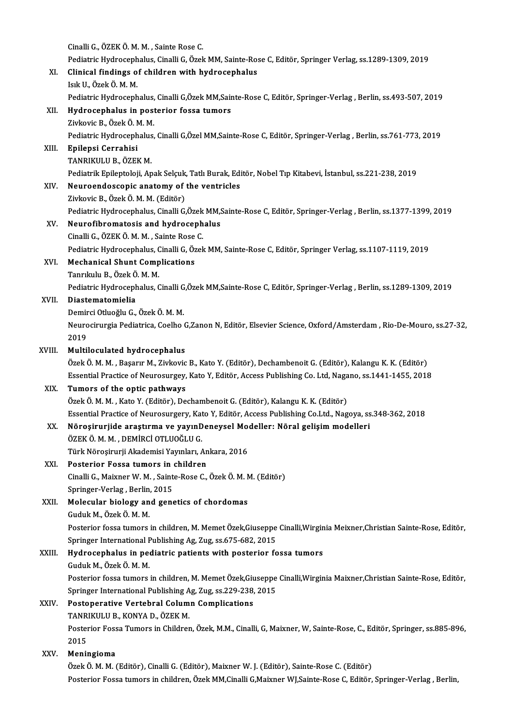Cinalli G., ÖZEKÖ.M.M., Sainte Rose C. Cinalli G., ÖZEK Ö. M. M. , Sainte Rose C.<br>Pediatric Hydrocephalus, Cinalli G, Özek MM, Sainte-Rose C, Editör, Springer Verlag, ss.1289-1309, 2019<br>Clinisal findings of shildnen with bydnosanhalus XI. Clinical findings of children with hydrocephalus<br>Isık U. Özek Ö. M. M. Pediatric Hydroceph<br>Clinical findings o<br>Isık U., Özek Ö. M. M.<br>Pediatria Hydroseph Clinical findings of children with hydrocephalus<br>Isık U., Özek Ö. M. M.<br>Pediatric Hydrocephalus, Cinalli G,Özek MM,Sainte-Rose C, Editör, Springer-Verlag , Berlin, ss.493-507, 2019<br>Hydrocephalus in postorior fossa tumors XII. Hydrocephalus in posterior fossa tumors<br>Zivkovic B., Özek Ö. M. M. Pediatric Hydrocephalus,<br><mark>Hydrocephalus in pos</mark>t<br>Zivkovic B., Özek Ö. M. M.<br>Pediatric Hydrocephalus Pediatric Hydrocephalus, Cinalli G,Özel MM,Sainte-Rose C, Editör, Springer-Verlag , Berlin, ss.761-773, 2019 XIII. Epilepsi Cerrahisi TANRIKULUB.,ÖZEKM. Epilepsi Cerrahisi<br>TANRIKULU B., ÖZEK M.<br>Pediatrik Epileptoloji, Apak Selçuk, Tatlı Burak, Editör, Nobel Tıp Kitabevi, İstanbul, ss.221-238, 2019<br>Naureandessenis anatamu of the ventrisles XIV. Neuroendoscopic anatomy of the ventricles Pediatrik Epileptoloji, Apak Selçuk,<br>Neuroendoscopic anatomy of<br>Zivkovic B., Özek Ö. M. M. (Editör)<br>Redistris Hydrosenhalus Cinalli C. Neuroendoscopic anatomy of the ventricles<br>Zivkovic B., Özek Ö. M. M. (Editör)<br>Pediatric Hydrocephalus, Cinalli G,Özek MM,Sainte-Rose C, Editör, Springer-Verlag , Berlin, ss.1377-1399, 2019<br>Neurofibrematesis and bydrosephal Zivkovic B., Özek Ö. M. M. (Editör)<br>Pediatric Hydrocephalus, Cinalli G,Özek MM,S<br>XV. Neurofibromatosis and hydrocephalus<br>Cinalli C. ÖZEK Ö. M. M. Sainta Bose C. Pediatric Hydrocephalus, Cinalli G,Özek<br>Neurofibromatosis and hydroceph<br>Cinalli G., ÖZEK Ö. M. M. , Sainte Rose C.<br>Rediatric Hydrosephalus Cinalli G, Özel. Neurofibromatosis and hydrocephalus<br>Cinalli G., ÖZEK Ö. M. M. , Sainte Rose C.<br>Pediatric Hydrocephalus, Cinalli G, Özek MM, Sainte-Rose C, Editör, Springer Verlag, ss.1107-1119, 2019<br>Meshanisel Shunt Complications Cinalli G., ÖZEK Ö. M. M. , Sainte Rose C.<br>Pediatric Hydrocephalus, Cinalli G, Özek<br>XVI. Mechanical Shunt Complications<br>Tanrıkulu B., Özek Ö. M. M. Pediatric Hydrocephalus, C<br>Mechanical Shunt Comp<br>Tanrıkulu B., Özek Ö. M. M.<br>Pediatric Hydrosephalus *C* Mechanical Shunt Complications<br>Tanrıkulu B., Özek Ö. M. M.<br>Pediatric Hydrocephalus, Cinalli G,Özek MM,Sainte-Rose C, Editör, Springer-Verlag , Berlin, ss.1289-1309, 2019 XVII. Diastematomielia<br>Demirci Otluoğlu G., Özek Ö. M. M. Pediatric Hydrocephalus, Cinalli G<br>Diastematomielia<br>Demirci Otluoğlu G., Özek Ö. M. M.<br>Naurosinursia Bediatrica, Coelho ( Diastematomielia<br>Demirci Otluoğlu G., Özek Ö. M. M.<br>Neurocirurgia Pediatrica, Coelho G,Zanon N, Editör, Elsevier Science, Oxford/Amsterdam , Rio-De-Mouro, ss.27-32, Demir<br>Neuro<br>2019<br>Multi Neurocirurgia Pediatrica, Coelho (2019)<br>XVIII. **Multiloculated hydrocephalus**<br>Örek Ö.M.M. Besseur M. Ziukovie 2019<br>XVIII. **Multiloculated hydrocephalus**<br>Özek Ö. M. M. , Başarır M., Zivkovic B., Kato Y. (Editör), Dechambenoit G. (Editör), Kalangu K. K. (Editör) Essential Practice of Neurosurgey, Kato Y, Editör, Access Publishing Co. Ltd, Nagano, ss.1441-1455, 2018 XIX. Tumors of the optic pathways Özek Ö. M. M., Kato Y. (Editör), Dechambenoit G. (Editör), Kalangu K. K. (Editör) Essential Practice of Neurosurgery, Kato Y, Editör, Access Publishing Co.Ltd., Nagoya, ss.348-362, 2018 Özek Ö. M. M. , Kato Y. (Editör), Dechambenoit G. (Editör), Kalangu K. K. (Editör)<br>Essential Practice of Neurosurgery, Kato Y, Editör, Access Publishing Co.Ltd., Nagoya, ss<br>XX. Nöroşirurjide araştırma ve yayınDeneysel Mode Essential Practice of Neurosurgery, Kat<br>Nöroşirurjide araştırma ve yayınD<br>ÖZEK Ö. M. M. , DEMİRCİ OTLUOĞLU G.<br>Türk Nörosinurii Akademisi Yayınları Nöroşirurjide araştırma ve yayınDeneysel Mo<br>ÖZEK Ö. M. M. , DEMİRCİ OTLUOĞLU G.<br>Türk Nöroşirurji Akademisi Yayınları, Ankara, 2016<br>Postarior Fossa tumors in abildran ÖZEK Ö. M. M. , DEMIRCI OTLUOĞLU G.<br>Türk Nöroşirurji Akademisi Yayınları, An<br>XXI. Posterior Fossa tumors in children<br>Cinalli C. Maiynar W. M. Sainta Basa C Türk Nöroşirurji Akademisi Yayınları, Ankara, 2016<br>Posterior Fossa tumors in children<br>Cinalli G., Maixner W. M. , Sainte-Rose C., Özek Ö. M. M. (Editör)<br>Saringer Verlag, Berlin, 2015 Posterior Fossa tumors in<br>Cinalli G., Maixner W. M. , Saint<br>Springer-Verlag , Berlin, 2015<br>Malasular bialagu and gana Cinalli G., Maixner W. M. , Sainte-Rose C., Özek Ö. M. N<br>Springer-Verlag , Berlin, 2015<br>XXII. Molecular biology and genetics of chordomas<br>Cuduk M. Özek Ö. M. M Springer-Verlag , Berlin, 2015<br>Molecular biology and genetics of chordomas<br>Guduk M., Özek Ö. M. M. Molecular biology and genetics of chordomas<br>Guduk M., Özek Ö. M. M.<br>Posterior fossa tumors in children, M. Memet Özek,Giuseppe Cinalli,Wirginia Meixner,Christian Sainte-Rose, Editör, Guduk M., Özek Ö. M. M.<br>Posterior fossa tumors in children, M. Memet Özek,Giuseppe<br>Springer International Publishing Ag, Zug, ss.675-682, 2015<br>Hydrosephelus in podiatris patients with posterior fo Posterior fossa tumors in children, M. Memet Özek, Giuseppe Cinalli, Wirgin<br>Springer International Publishing Ag, Zug, ss.675-682, 2015<br>XXIII. Hydrocephalus in pediatric patients with posterior fossa tumors<br>Cuduk M. Özek Ö Springer International F<br>Hydrocephalus in peo<br>Guduk M., Özek Ö. M. M.<br>Posterior fossa tumers Hydrocephalus in pediatric patients with posterior fossa tumors<br>Guduk M., Özek Ö. M. M.<br>Posterior fossa tumors in children, M. Memet Özek,Giuseppe Cinalli,Wirginia Maixner,Christian Sainte-Rose, Editör, Guduk M., Özek Ö. M. M.<br>Posterior fossa tumors in children, M. Memet Özek,Giuseppe<br>Springer International Publishing Ag, Zug, ss.229-238, 2015<br>Posteperative Vertebral Column Complisations Posterior fossa tumors in children, M. Memet Özek, Giu<br>Springer International Publishing Ag, Zug, ss.229-238,<br>XXIV. Postoperative Vertebral Column Complications<br>TANBIKULU B KONNA D, ÖZEK M Springer International Publishing Ag, Zug, ss.229-238, 2015<br>Postoperative Vertebral Column Complications<br>TANRIKULU B., KONYA D., ÖZEK M. Postoperative Vertebral Column Complications<br>TANRIKULU B., KONYA D., ÖZEK M.<br>Posterior Fossa Tumors in Children, Özek, M.M., Cinalli, G, Maixner, W, Sainte-Rose, C., Editör, Springer, ss.885-896, TANR<br>Poster<br>2015<br>Monis Posterior Foss<br>2015<br>XXV. **Meningioma**<br><sup>Örok</sup> <sup>Ö.</sup> M. M. ( 2015<br>**Meningioma**<br>Özek Ö. M. M. (Editör), Cinalli G. (Editör), Maixner W. J. (Editör), Sainte-Rose C. (Editör) Posterior Fossa tumors in children, Özek MM,Cinalli G,Maixner WJ,Sainte-Rose C, Editör, Springer-Verlag , Berlin,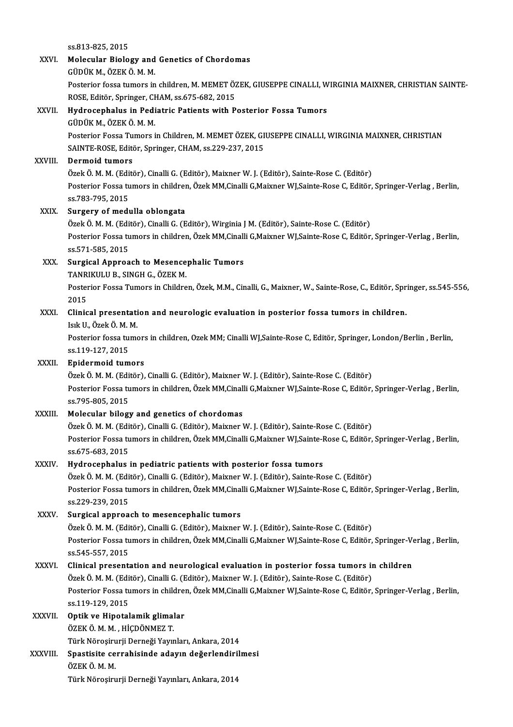ss.813-825,2015

### SS.813-825, 2015<br>XXVI. Molecular Biology and Genetics of Chordomas<br>CUDUV M. ÖZEV Ö M M. ss.813-825, 2015<br>Molecular Biology and<br>GÜDÜK M., ÖZEK Ö. M. M.<br>Pesterior fosse tymors in Molecular Biology and Genetics of Chordomas<br>GÜDÜK M., ÖZEK Ö. M. M.<br>Posterior fossa tumors in children, M. MEMET ÖZEK, GIUSEPPE CINALLI, WIRGINIA MAIXNER, CHRISTIAN SAINTE-<br>POSE, Editär, Springer, CHAM, 88,675,682, 2015 GÜDÜK M., ÖZEK Ö. M. M.<br>Posterior fossa tumors in children, M. MEMET ÖZ<br>ROSE, Editör, Springer, CHAM, ss.675-682, 2015<br>Hydrosenbalus in Bodiatris Batiants with B XXVII. Hydrocephalus in Pediatric Patients with Posterior Fossa Tumors<br>GÜDÜK M., ÖZEK Ö. M. M. ROSE, Editör, Springer, CHAM, ss.675-682, 2015 Posterior Fossa Tumors in Children, M. MEMET ÖZEK, GIUSEPPE CINALLI, WIRGINIA MAIXNER, CHRISTIAN SAINTE-ROSE, Editör, Springer, CHAM, ss.229-237, 2015 XXVIII. Dermoid tumors SAINTE-ROSE, Editör, Springer, CHAM, ss.229-237, 2015<br><mark>Dermoid tumors</mark><br>Özek Ö. M. M. (Editör), Cinalli G. (Editör), Maixner W. J. (Editör), Sainte-Rose C. (Editör)<br>Pesterior Fesse tumors in sbildren, Özek MM Cinalli C Maiy Posterior Fossa tumors in children, Özek MM,Cinalli G,Maixner WJ,Sainte-Rose C, Editör, Springer-Verlag , Berlin,<br>ss.783-795, 2015 Özek Ö. M. M. (Edi<br>Posterior Fossa tu<br>ss.783-795, 2015<br>Surgery of modi XXIX. Surgery of medulla oblongata ss.783-795, 2015<br><mark>Surgery of medulla oblongata</mark><br>Özek Ö. M. M. (Editör), Cinalli G. (Editör), Wirginia J M. (Editör), Sainte-Rose C. (Editör)<br>Pesteriar Fesse tumers in shildren, Özek MM Cinalli C Maiyner WI Sainte Pess C. E Posterior Fossa tumors in children, Özek MM,Cinalli G,Maixner WJ,Sainte-Rose C, Editör, Springer-Verlag , Berlin,<br>ss.571-585, 2015 Özek Ö. M. M. (Edi<br>Posterior Fossa tu<br>ss.571-585, 2015<br>Sungical Annuae Posterior Fossa tumors in children, Özek MM,Cinall<br>ss.571-585, 2015<br>XXX. Surgical Approach to Mesencephalic Tumors<br>TANDIVIII U.B. SINGH G. ÖZEK M ss.571-585, 2015<br>Surgical Approach to Mesence<br>TANRIKULU B., SINGH G., ÖZEK M.<br>Pesterior Fosse Tumers in Childre Surgical Approach to Mesencephalic Tumors<br>TANRIKULU B., SINGH G., ÖZEK M.<br>Posterior Fossa Tumors in Children, Özek, M.M., Cinalli, G., Maixner, W., Sainte-Rose, C., Editör, Springer, ss.545-556,<br>2015 TANR<br>Poster<br>2015<br>Clinic Posterior Fossa Tumors in Children, Özek, M.M., Cinalli, G., Maixner, W., Sainte-Rose, C., Editör, Spr<br>2015<br>XXXI. Clinical presentation and neurologic evaluation in posterior fossa tumors in children. 2015<br>Clinical presentation and neurologic evaluation in posterior fossa tumors in children.<br>Isık U., Özek Ö. M. M. Clinical presentation and neurologic evaluation in posterior fossa tumors in children.<br>Isık U., Özek Ö. M. M.<br>Posterior fossa tumors in children, Ozek MM; Cinalli WJ,Sainte-Rose C, Editör, Springer, London/Berlin , Berlin, Isık U., Özek Ö. M. |<br>Posterior fossa tu<br>ss.119-127, 2015<br>Enidermeid tum Posterior fossa tumors<br>ss.119-127, 2015<br>XXXII. Epidermoid tumors ss.119-127, 2015<br><mark>Epidermoid tumors</mark><br>Özek Ö. M. M. (Editör), Cinalli G. (Editör), Maixner W. J. (Editör), Sainte-Rose C. (Editör)<br>Restarior Fesse tumors in shildren, Özek MM Cinalli C Maiyner WI Sainte Pess C. Editör Epidermoid tumors<br>Özek Ö. M. M. (Editör), Cinalli G. (Editör), Maixner W. J. (Editör), Sainte-Rose C. (Editör)<br>Posterior Fossa tumors in children, Özek MM,Cinalli G,Maixner WJ,Sainte-Rose C, Editör, Springer-Verlag , Berli Özek Ö. M. M. (Edi<br>Posterior Fossa tu<br>ss.795-805, 2015<br>Melesular bilosı XXXIII. Molecular bilogy and genetics of chordomas Özek Ö. M. M. (Editör), Cinalli G. (Editör), Maixner W. J. (Editör), Sainte-Rose C. (Editör) Molecular bilogy and genetics of chordomas<br>Özek Ö. M. M. (Editör), Cinalli G. (Editör), Maixner W. J. (Editör), Sainte-Rose C. (Editör)<br>Posterior Fossa tumors in children, Özek MM,Cinalli G,Maixner WJ,Sainte-Rose C, Editör Özek Ö. M. M. (Edi<br>Posterior Fossa tu<br>ss.675-683, 2015<br>Hydnosenhelus i Posterior Fossa tumors in children, Özek MM,Cinalli G,Maixner WJ,Sainte-F<br>ss.675-683, 2015<br>XXXIV. Hydrocephalus in pediatric patients with posterior fossa tumors<br> $\frac{\partial}{\partial x}$ lak  $\frac{\partial}{\partial x}$  M, M, (Editar), Ginalli C, (Edita ss.675-683, 2015<br>Hydrocephalus in pediatric patients with posterior fossa tumors<br>Özek Ö. M. M. (Editör), Cinalli G. (Editör), Maixner W. J. (Editör), Sainte-Rose C. (Editör)<br>Pesterior Fossa tumora in ebildren, Özek MM Cina Hydrocephalus in pediatric patients with posterior fossa tumors<br>Özek Ö. M. M. (Editör), Cinalli G. (Editör), Maixner W. J. (Editör), Sainte-Rose C. (Editör)<br>Posterior Fossa tumors in children, Özek MM,Cinalli G,Maixner WJ, Özek Ö. M. M. (Edi<br>Posterior Fossa tu<br>ss.229-239, 2015<br>Surgical annrea XXXV. Surgical approach to mesencephalic tumors ss.229-239, 2015<br><mark>Surgical approach to mesencephalic tumors</mark><br>Özek Ö. M. M. (Editör), Cinalli G. (Editör), Maixner W. J. (Editör), Sainte-Rose C. (Editör)<br>Pesterior Fosse tumors in shildren, Özek MM Cinalli C Maixner WI Sai Posterior Fossa tumors in children, Özek MM,Cinalli G,Maixner WJ,Sainte-Rose C, Editör, Springer-Verlag , Berlin,<br>ss.545-557, 2015 Özek Ö. M. M. (Edi<br>Posterior Fossa tu<br>ss.545-557, 2015<br>Clinical procents Posterior Fossa tumors in children, Özek MM,Cinalli G,Maixner WJ,Sainte-Rose C, Editör, Springer-Ve<br>ss.545-557, 2015<br>XXXVI. Clinical presentation and neurological evaluation in posterior fossa tumors in children<br>Özek Ö, M, ss.545-557, 2015<br>Clinical presentation and neurological evaluation in posterior fossa tumors in<br>Özek Ö. M. M. (Editör), Cinalli G. (Editör), Maixner W. J. (Editör), Sainte-Rose C. (Editör)<br>Posterior Fosse tumors in ebildre Posterior Fossa tumors in children, Özek MM,Cinalli G,Maixner WJ,Sainte-Rose C, Editör, Springer-Verlag , Berlin,<br>ss.119-129. 2015 Özek Ö. M. M. (Editör), Cinalli G. (Editör), Maixner W. J. (Editör), Sainte-Rose C. (Editör) XXXVII. Optik ve Hipotalamik glimalar ÖZEKÖ.M.M. ,HİÇDÖNMEZ T. Optik ve Hipotalamik glimalar<br>ÖZEK Ö. M. M. , HİÇDÖNMEZ T.<br>Türk Nöroşirurji Derneği Yayınları, Ankara, 2014<br>Spestisite servebisinde adayın değerlendiril: XXXVIII. Spastisite cerrahisinde adayın değerlendirilmesi<br>ÖZEK Ö. M. M. Türk Nöroşiru<br>Spastisite ce<br>ÖZEK Ö. M. M.<br>Türk Nörosiru Türk Nöroşirurji Derneği Yayınları, Ankara, 2014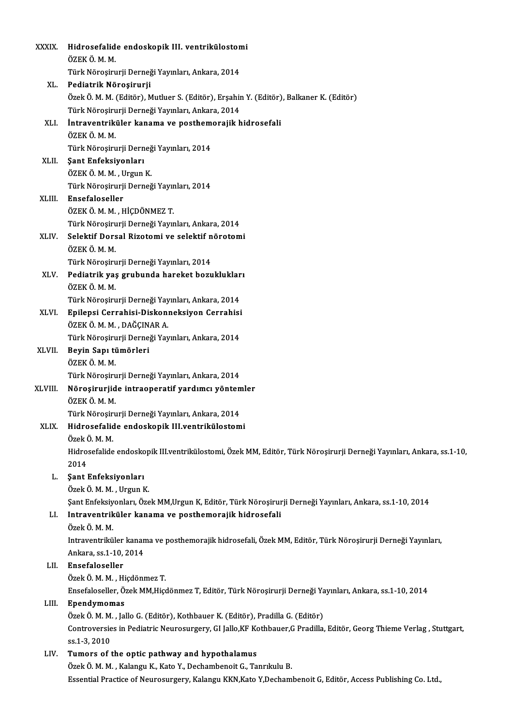| <b>XXXIX</b> | Hidrosefalide endoskopik III. ventrikülostomi                                                                        |
|--------------|----------------------------------------------------------------------------------------------------------------------|
|              | ÖZEK Ö M M                                                                                                           |
|              | Türk Nöroşirurji Derneği Yayınları, Ankara, 2014                                                                     |
| XL.          | Pediatrik Nöroşirurji                                                                                                |
|              | Özek Ö. M. M. (Editör), Mutluer S. (Editör), Erşahin Y. (Editör), Balkaner K. (Editör)                               |
|              | Türk Nöroşirurji Derneği Yayınları, Ankara, 2014                                                                     |
| XLI.         | İntraventriküler kanama ve posthemorajik hidrosefali                                                                 |
|              | ÖZEK Ö. M. M.                                                                                                        |
|              | Türk Nöroşirurji Derneği Yayınları, 2014                                                                             |
| XLII.        | Şant Enfeksiyonları                                                                                                  |
|              | ÖZEK ÖMM, Urgun K                                                                                                    |
|              | Türk Nöroşirurji Derneği Yayınları, 2014                                                                             |
| XLIII.       | Ensefaloseller                                                                                                       |
|              | ÖZEK Ö M M , HİÇDÖNMEZ T                                                                                             |
|              | Türk Nöroşirurji Derneği Yayınları, Ankara, 2014                                                                     |
| XLIV.        | Selektif Dorsal Rizotomi ve selektif nörotomi                                                                        |
|              | ÖZEKÖMM.                                                                                                             |
|              | Türk Nöroşirurji Derneği Yayınları, 2014                                                                             |
| XLV.         | Pediatrik yaş grubunda hareket bozuklukları                                                                          |
|              | ÖZEK Ö. M. M.                                                                                                        |
| XLVI.        | Türk Nöroşirurji Derneği Yayınları, Ankara, 2014                                                                     |
|              | Epilepsi Cerrahisi-Diskonneksiyon Cerrahisi<br>ÖZEK Ö. M. M., DAĞÇINAR A.                                            |
|              | Türk Nöroşirurji Derneği Yayınları, Ankara, 2014                                                                     |
| XLVII.       | Beyin Sapı tümörleri                                                                                                 |
|              | ÖZEK Ö M M                                                                                                           |
|              | Türk Nöroşirurji Derneği Yayınları, Ankara, 2014                                                                     |
| XLVIII.      | Nöroşirurjide intraoperatif yardımcı yöntemler                                                                       |
|              | ÖZEK Ö. M. M.                                                                                                        |
|              | Türk Nöroşirurji Derneği Yayınları, Ankara, 2014                                                                     |
| XLIX.        | Hidrosefalide endoskopik III.ventrikülostomi                                                                         |
|              | Özek Ö. M. M.                                                                                                        |
|              | Hidrosefalide endoskopik III.ventrikülostomi, Özek MM, Editör, Türk Nöroşirurji Derneği Yayınları, Ankara, ss.1-10,  |
|              | 2014                                                                                                                 |
| L.           | Şant Enfeksiyonları                                                                                                  |
|              | Özek Ö. M. M., Urgun K.                                                                                              |
|              | Şant Enfeksiyonları, Özek MM, Urgun K, Editör, Türk Nöroşirurji Derneği Yayınları, Ankara, ss.1-10, 2014             |
| LI.          | Intraventriküler kanama ve posthemorajik hidrosefali                                                                 |
|              | Özek Ö. M. M.                                                                                                        |
|              | Intraventriküler kanama ve posthemorajik hidrosefali, Özek MM, Editör, Türk Nöroşirurji Derneği Yayınları,           |
|              | Ankara, ss 1-10, 2014                                                                                                |
| LII.         | Ensefaloseller                                                                                                       |
|              | Özek Ö. M. M., Hiçdönmez T.                                                                                          |
|              | Ensefaloseller, Özek MM, Hiçdönmez T, Editör, Türk Nöroşirurji Derneği Yayınları, Ankara, ss. 1-10, 2014             |
| LIII.        | Ependymomas                                                                                                          |
|              | Özek Ö. M. M., Jallo G. (Editör), Kothbauer K. (Editör), Pradilla G. (Editör)                                        |
|              | Controversies in Pediatric Neurosurgery, GI Jallo, KF Kothbauer, G Pradilla, Editör, Georg Thieme Verlag, Stuttgart, |
|              | ss 1-3, 2010                                                                                                         |
| LIV.         | Tumors of the optic pathway and hypothalamus<br>Özek Ö. M. M., Kalangu K., Kato Y., Dechambenoit G., Tanrıkulu B.    |
|              | Essential Practice of Neurosurgery, Kalangu KKN, Kato Y, Dechambenoit G, Editör, Access Publishing Co. Ltd.,         |
|              |                                                                                                                      |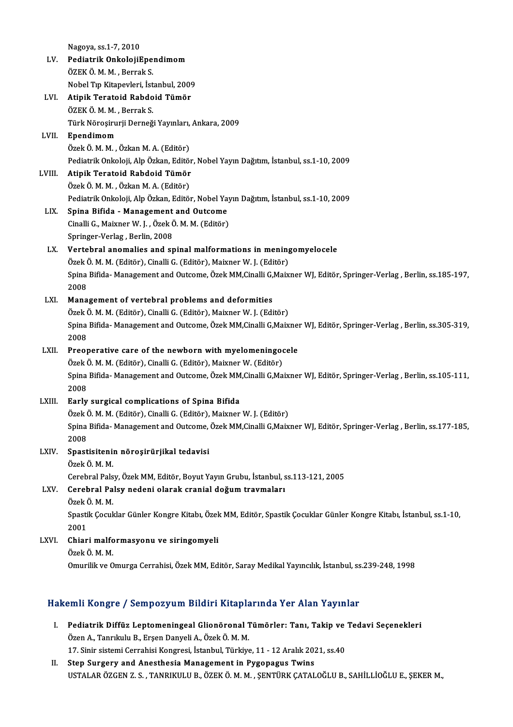Nagoya, ss.1-7,2010

- LV. Pediatrik OnkolojiEpendimom ÖZEKÖ.M.M. ,BerrakS. Pediatrik OnkolojiEpendimom<br>ÖZEK Ö. M. M. , Berrak S.<br>Nobel Tıp Kitapevleri, İstanbul, 2009<br>Atinik Tenateid Behdeid Tümör
- LVI. Atipik Teratoid Rabdoid Tümör Nobel Tıp Kitapevleri, İst<br><mark>Atipik Teratoid Rabdo</mark><br>ÖZEK Ö. M. M. , Berrak S.<br>Türk Nörosirurii Derneğ Atipik Teratoid Rabdoid Tümör<br>ÖZEK Ö. M. M. , Berrak S.<br>Türk Nöroşirurji Derneği Yayınları, Ankara, 2009<br>Enendimem
- LVII. Ependimom<br>Özek Ö, M, M, , Özkan M, A, (Editör) Türk Nöroşirurji Derneği Yayınları,<br><mark>Ependimom</mark><br>Özek Ö. M. M. , Özkan M. A. (Editör)<br>Pediatrik Onkoloji, Alp Özkan, Editör **Ependimom**<br>Özek Ö. M. M. , Özkan M. A. (Editör)<br>Pediatrik Onkoloji, Alp Özkan, Editör, Nobel Yayın Dağıtım, İstanbul, ss.1-10, 2009<br>Atinik Terateid, Rahdoid Tümör
- LVIII. Atipik Teratoid Rabdoid Tümör<br>Özek Ö. M. M. , Özkan M. A. (Editör) Pediatrik Onkoloji, Alp Özkan, Editör<br>**Atipik Teratoid Rabdoid Tümör**<br>Özek Ö. M. M. , Özkan M. A. (Editör)<br>Pediatrik Onkoloji, Alp Özkan, Editör Pediatrik Onkoloji, Alp Özkan, Editör, Nobel Yayın Dağıtım, İstanbul, ss.1-10, 2009 Özek Ö. M. M. , Özkan M. A. (Editör)<br>Pediatrik Onkoloji, Alp Özkan, Editör, Nobel Ya<br>LIX. Spina Bifida - Management and Outcome<br>Cinelli C. Meiyner W. L. Özek Ö. M. M. (Editör)
	- Cinalli G., Maixner W. J. , Özek Ö. M. M. (Editör)<br>Springer-Verlag , Berlin, 2008 Spina Bifida - Management<br>Cinalli G., Maixner W. J. , Özek Ö<br>Springer-Verlag , Berlin, 2008<br>Vertehrel anomalies and an

## Cinalli G., Maixner W. J. , Özek Ö. M. M. (Editör)<br>Springer-Verlag , Berlin, 2008<br>LX. Vertebral anomalies and spinal malformations in meningomyelocele<br>Özek Ö. M. M. (Editör), Cinalli C. (Editör), Maiyner W. L. (Editör) Springer-Verlag , Berlin, 2008<br>Vertebral anomalies and spinal malformations in mening<br>Özek Ö. M. M. (Editör), Cinalli G. (Editör), Maixner W. J. (Editör)<br>Spina Bifida, Manasamant and Qutaama, Özek MM Ginalli G.Maix Vertebral anomalies and spinal malformations in meningomyelocele<br>Özek Ö. M. M. (Editör), Cinalli G. (Editör), Maixner W. J. (Editör)<br>Spina Bifida- Management and Outcome, Özek MM,Cinalli G,Maixner WJ, Editör, Springer-Verl

Özek (<br>Spina<br>2008<br>Mana Spina Bifida- Management and Outcome, Özek MM, Cinalli G,<br>2008<br>LXI. Management of vertebral problems and deformities<br>Özek Ö. M. M. (Editör), Cinalli C. (Editör), Maiyner W. L. (Edi

2008<br>Management of vertebral problems and deformities<br>Özek Ö. M. M. (Editör), Cinalli G. (Editör), Maixner W. J. (Editör)<br>Snina Bifida, Management and Qutsome, Özek MM Ginalli G Maix Management of vertebral problems and deformities<br>Özek Ö. M. M. (Editör), Cinalli G. (Editör), Maixner W. J. (Editör)<br>Spina Bifida- Management and Outcome, Özek MM,Cinalli G,Maixner WJ, Editör, Springer-Verlag , Berlin, ss. Özek (<br>Spina<br>2008<br>Preer Spina Bifida-Management and Outcome, Özek MM,Cinalli G,Maixner<br>2008<br>LXII. Preoperative care of the newborn with myelomeningocele<br> $\ddot{O}$ rek Ö,M,M (Editär), Cinalli C, (Editär), Maiyner W, (Editär)

## 2008<br>Preoperative care of the newborn with myelomeningoor<br>Özek Ö. M. M. (Editör), Cinalli G. (Editör), Maixner W. (Editör)<br>Snina Bifida, Managament and Qutsome, Özek MM Cinalli C. Ma Özek Ö. M. M. (Editör), Cinalli G. (Editör), Maixner W. (Editör)

Spina Bifida-Management and Outcome, Özek MM,Cinalli G,Maixner WJ, Editör, Springer-Verlag , Berlin, ss.105-111,<br>2008

### LXIII. Early surgical complications of Spina Bifida

2008<br><mark>Early surgical complications of Spina Bifida</mark><br>Özek Ö. M. M. (Editör), Cinalli G. (Editör), Maixner W. J. (Editör)<br>Snina Bifida, Manasoment and Qutsome, Özek MM Ginalli G.Maiv. Spina Bifida- Management and Outcome, Özek MM,Cinalli G,Maixner WJ, Editör, Springer-Verlag , Berlin, ss.177-185,<br>2008 Özek (<br>Spina<br>2008<br>Spaat Spina Bifida- Management and Outcome,<br>2008<br>LXIV. Spastisitenin nöroşirürjikal tedavisi

# 2008<br>Spastisitenii<br>Özek Ö. M. M.<br>Garebrel Pela

Spastisitenin nöroşirürjikal tedavisi<br>Özek Ö. M. M.<br>Cerebral Palsy, Özek MM, Editör, Boyut Yayın Grubu, İstanbul, ss.113-121, 2005<br>Cerebral Palsy, Özek MM, Editör, Boyut Yayın Grubu, İstanbul, ss.113-121, 2005

## Özek Ö. M. M.<br>Cerebral Palsy, Özek MM, Editör, Boyut Yayın Grubu, İstanbul, s<br>LXV. Cerebral Palsy nedeni olarak cranial doğum travmaları<br>Özek Ö. M. M. Cerebral Pals<br>Cerebral Pa<br>Özek Ö. M. M.<br>Spastik Cogul

Cerebral Palsy nedeni olarak cranial doğum travmaları<br>Özek Ö. M. M.<br>Spastik Çocuklar Günler Kongre Kitabı, Özek MM, Editör, Spastik Çocuklar Günler Kongre Kitabı, İstanbul, ss.1-10, Özek (<br>Spasti<br>2001<br>Chiar Spastik Çocuklar Günler Kongre Kitabı, Özek<br>2001<br>LXVI. Chiari malformasyonu ve siringomyeli<br>Özek Ö.M.M

# 2001<br>Chiari malfo<br>Özek Ö. M. M.<br>Omurilik ve O

Özek Ö. M. M.<br>Omurilik ve Omurga Cerrahisi, Özek MM, Editör, Saray Medikal Yayıncılık, İstanbul, ss.239-248, 1998

### Hakemli Kongre / Sempozyum Bildiri Kitaplarında Yer Alan Yayınlar

- akemli Kongre / Sempozyum Bildiri Kitaplarında Yer Alan Yayınlar<br>I. Pediatrik Diffüz Leptomeningeal Glionöronal Tümörler: Tanı, Takip ve Tedavi Seçenekleri<br>Özen A. Tanrılıllı B. Ersen Danyeli A. Özek Ö.M.M Özen A., Tanrıkulu B., Erşen Danyeli A., Özek Ö. M. M.<br>Özen A., Tanrıkulu B., Erşen Danyeli A., Özek Ö. M. M.<br>17. Sinin eistemi Canrabisi Konsussi, İstanbul, Türkiye Pediatrik Diffüz Leptomeningeal Glionöronal Tümörler: Tanı, Takip ve<br>Özen A., Tanrıkulu B., Erşen Danyeli A., Özek Ö. M. M.<br>17. Sinir sistemi Cerrahisi Kongresi, İstanbul, Türkiye, 11 - 12 Aralık 2021, ss.40<br>Stan Surgery a Özen A., Tanrıkulu B., Erşen Danyeli A., Özek Ö. M. M.<br>17. Sinir sistemi Cerrahisi Kongresi, İstanbul, Türkiye, 11 - 12 Aralık 201<br>II. Step Surgery and Anesthesia Management in Pygopagus Twins<br>USTALAR ÖZEEN Z.S., TANRIKILL
- II. Step Surgery and Anesthesia Management in Pygopagus Twins<br>USTALAR ÖZGEN Z. S. , TANRIKULU B., ÖZEK Ö. M. M. , ŞENTÜRK ÇATALOĞLU B., SAHİLLİOĞLU E., ŞEKER M.,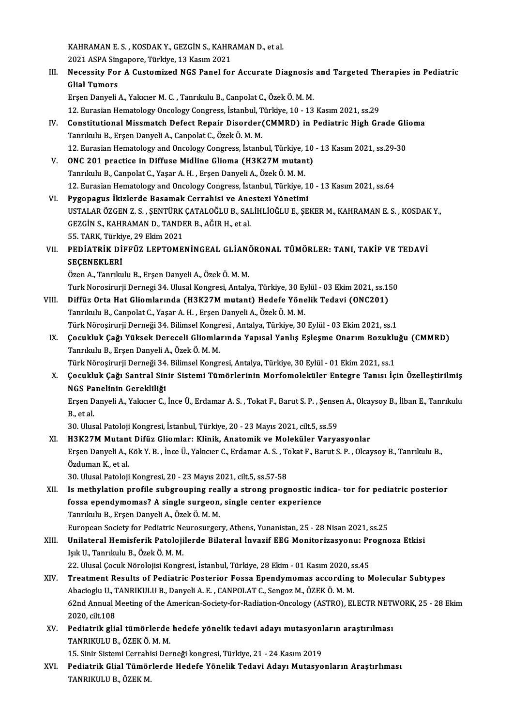KAHRAMAN E. S. , KOSDAK Y., GEZGİN S., KAHRAMAN D., et al.<br>2021 ASRA Singanone, Türkiye, 13 Kasım 2021 KAHRAMAN E. S. , KOSDAK Y., GEZGİN S., KAHR<br>2021 ASPA Singapore, Türkiye, 13 Kasım 2021<br>Nassasity Fan A Custaminad NGS Banel fal 2021 ASPA Singapore, Türkiye, 13 Kasım 2021

III. Necessity For A Customized NGS Panel for Accurate Diagnosis and Targeted Therapies in Pediatric<br>Glial Tumors

Erşen Danyeli A., Yakıcıer M. C., Tanrıkulu B., Canpolat C., Özek Ö. M. M.

12.EurasianHematologyOncologyCongress, İstanbul,Türkiye,10 -13Kasım2021, ss.29

- Erşen Danyeli A., Yakıcıer M. C. , Tanrıkulu B., Canpolat C., Özek Ö. M. M.<br>12. Eurasian Hematology Oncology Congress, İstanbul, Türkiye, 10 13 Kasım 2021, ss.29<br>IV. Constitutional Missmatch Defect Repair Disorder(CMMRD) 12. Eurasian Hematology Oncology Congress, İstanbul, T<br>Constitutional Missmatch Defect Repair Disorder<br>Tanrıkulu B., Erşen Danyeli A., Canpolat C., Özek Ö. M. M.<br>12. Eurasian Hematology and Oncology Congress, İstanb Constitutional Missmatch Defect Repair Disorder (CMMRD) in Pediatric High Grade Gli<br>Tanrıkulu B., Erşen Danyeli A., Canpolat C., Özek Ö. M. M.<br>12. Eurasian Hematology and Oncology Congress, İstanbul, Türkiye, 10 - 13 Kasım Tanrıkulu B., Erşen Danyeli A., Canpolat C., Özek Ö. M. M.<br>12. Eurasian Hematology and Oncology Congress, İstanbul, Türkiye, 10<br>V. ONC 201 practice in Diffuse Midline Glioma (H3K27M mutant)<br>Tanrıkulu B. Canpolat C. Yasar A
- 12. Eurasian Hematology and Oncology Congress, İstanbul, Türkiye, 2000.<br>Tanrıkulu B., Canpolat C., Yaşar A. H. , Erşen Danyeli A., Özek Ö. M. M.<br>Tanrıkulu B., Canpolat C., Yaşar A. H. , Erşen Danyeli A., Özek Ö. M. M. ONC 201 practice in Diffuse Midline Glioma (H3K27M mutant)<br>Tanrıkulu B., Canpolat C., Yaşar A. H. , Erşen Danyeli A., Özek Ö. M. M.<br>12. Eurasian Hematology and Oncology Congress, İstanbul, Türkiye, 10 - 13 Kasım 2021, ss.6 Tanrıkulu B., Canpolat C., Yaşar A. H. , Erşen Danyeli A., Özek Ö. M. M.<br>12. Eurasian Hematology and Oncology Congress, İstanbul, Türkiye, 1<br>VI. Pygopagus İkizlerde Basamak Cerrahisi ve Anestezi Yönetimi<br>USTALAR ÖZCEN Z.S.
- 12. Eurasian Hematology and Oncology Congress, İstanbul, Türkiye, 10 13 Kasım 2021, ss.64<br>**Pygopagus İkizlerde Basamak Cerrahisi ve Anestezi Yönetimi**<br>USTALAR ÖZGEN Z. S. , ŞENTÜRK ÇATALOĞLU B., SALİHLİOĞLU E., ŞEKER M., Pygopagus İkizlerde Basamak Cerrahisi ve Ane<br>USTALAR ÖZGEN Z. S. , ŞENTÜRK ÇATALOĞLU B., SAI<br>GEZGİN S., KAHRAMAN D., TANDER B., AĞIR H., et al.<br>EE TARK Türkiye 20 Ekim 2021 USTALAR ÖZGEN Z. S. , ŞENTÜRK<br>GEZGİN S., KAHRAMAN D., TANDI<br>55. TARK, Türkiye, 29 Ekim 2021<br>PEDİATRİK DİFFÜZ I FPTOME GEZGİN S., KAHRAMAN D., TANDER B., AĞIR H., et al.<br>55. TARK, Türkiye, 29 Ekim 2021<br>VII. PEDİATRİK DİFFÜZ LEPTOMENİNGEAL GLİANÖRONAL TÜMÖRLER: TANI, TAKİP VE TEDAVİ<br>SECENEKLERİ
- 55. TARK, Türkiy<br>PEDİATRİK Dİ<br>SEÇENEKLERİ SEÇENEKLERİ<br>Özen A., Tanrıkulu B., Erşen Danyeli A., Özek Ö. M. M. SEÇENEKLERİ<br>Özen A., Tanrıkulu B., Erşen Danyeli A., Özek Ö. M. M.<br>Turk Norosirurji Dernegi 34. Ulusal Kongresi, Antalya, Türkiye, 30 Eylül - 03 Ekim 2021, ss.150<br>Diffür Onta Het Cliemlanınde (H3K3ZM mutant), Hedefe Yöneli

- Özen A., Tanrıkulu B., Erşen Danyeli A., Özek Ö. M. M.<br>Turk Norosirurji Dernegi 34. Ulusal Kongresi, Antalya, Türkiye, 30 Eylül 03 Ekim 2021, ss.1!<br>VIII. Diffüz Orta Hat Gliomlarında (H3K27M mutant) Hedefe Yönelik Tedavi Turk Norosirurji Dernegi 34. Ulusal Kongresi, Antalya, Türkiye, 30 Ey<br>Diffüz Orta Hat Gliomlarında (H3K27M mutant) Hedefe Yöne<br>Türk Nörosirurji Derneği 34. Bilimsel Kongresi, Antalya Türkiye, 30<br>Türk Nörosirurji Derneği 34 Diffüz Orta Hat Gliomlarında (H3K27M mutant) Hedefe Yönelik Tedavi (ONC201)<br>Tanrıkulu B., Canpolat C., Yaşar A. H. , Erşen Danyeli A., Özek Ö. M. M.<br>Türk Nöroşirurji Derneği 34. Bilimsel Kongresi , Antalya, Türkiye, 30 Eyl
- Tanrıkulu B., Canpolat C., Yaşar A. H. , Erşen Danyeli A., Özek Ö. M. M.<br>Türk Nöroşirurji Derneği 34. Bilimsel Kongresi , Antalya, Türkiye, 30 Eylül 03 Ekim 2021, ss.1<br>IX. Çocukluk Çağı Yüksek Dereceli Gliomlarında Y Türk Nöroşirurji Derneği 34. Bilimsel Kongr<br>Çocukluk Çağı Yüksek Dereceli Gliomla<br>Tanrıkulu B., Erşen Danyeli A., Özek Ö. M. M.<br>Türk Nörosinurii Derneği 34. Bilimsel Kongr Çocukluk Çağı Yüksek Dereceli Gliomlarında Yapısal Yanlış Eşleşme Onarım Bozuklu<br>Tanrıkulu B., Erşen Danyeli A., Özek Ö. M. M.<br>Türk Nöroşirurji Derneği 34. Bilimsel Kongresi, Antalya, Türkiye, 30 Eylül - 01 Ekim 2021, ss.1

Türk Nöroşirurji Derneği 34. Bilimsel Kongresi, Antalya, Türkiye, 30 Eylül - 01 Ekim 2021, ss.1

Tanrıkulu B., Erşen Danyeli A., Özek Ö. M. M.<br>Türk Nöroşirurji Derneği 34. Bilimsel Kongresi, Antalya, Türkiye, 30 Eylül - 01 Ekim 2021, ss.1<br>X. Çocukluk Çağı Santral Sinir Sistemi Tümörlerinin Morfomoleküler Entegre Ta Çocukluk Çağı Santral Sinir Sistemi Tümörlerinin Morfomoleküler Entegre Tanısı İçin Özelleştirilmiş<br>NGS Panelinin Gerekliliği<br>Erşen Danyeli A., Yakıcıer C., İnce Ü., Erdamar A. S. , Tokat F., Barut S. P. , Şensen A., Olcay

NGS Pa<br>Erşen D<br>B., et al.<br>20. Uhra Erşen Danyeli A., Yakıcıer C., İnce Ü., Erdamar A. S. , Tokat F., Barut S. P. , Şense<br>B., et al.<br>30. Ulusal Patoloji Kongresi, İstanbul, Türkiye, 20 - 23 Mayıs 2021, cilt.5, ss.59<br>H2K27M Mutant Difür Gliomları Klinik, Anat

- B., et al.<br>30. Ulusal Patoloji Kongresi, İstanbul, Türkiye, 20 23 Mayıs 2021, cilt.5, ss.59<br>XI. H3K27M Mutant Difüz Gliomlar: Klinik, Anatomik ve Moleküler Varyasyonlar<br>Freep Danyeli A. Költ V. B., İnge Ü. Yalpater G. Er 30. Ulusal Patoloji Kongresi, İstanbul, Türkiye, 20 - 23 Mayıs 2021, cilt.5, ss.59<br>H3K27M Mutant Difüz Gliomlar: Klinik, Anatomik ve Moleküler Varyasyonlar<br>Erşen Danyeli A., Kök Y. B. , İnce Ü., Yakıcıer C., Erdamar A. S. H3K27M Mutant<br>Erşen Danyeli A., l<br>Özduman K., et al.<br>20. Ulugal Patalaii Erşen Danyeli A., Kök Y. B. , İnce Ü., Yakıcıer C., Erdamar A. S. , To<br>Özduman K., et al.<br>30. Ulusal Patoloji Kongresi, 20 - 23 Mayıs 2021, cilt.5, ss.57-58<br>Is methylation nuofilo subsysuning neally a strong nuogu Özduman K., et al.<br>30. Ulusal Patoloji Kongresi, 20 - 23 Mayıs 2021, cilt.5, ss.57-58<br>XII. Is methylation profile subgrouping really a strong prognostic indica- tor for pediatric posterior<br>fogge apandumamaa? A single s
- 30. Ulusal Patoloji Kongresi, 20 23 Mayıs 2021, cilt.5, ss.57-58<br>Is methylation profile subgrouping really a strong prognostic inc<br>fossa ependymomas? A single surgeon, single center experience<br>Tanrıkılı B. Ersen Danyeli fossa ependymomas? A single surgeon, single center experience<br>Tanrıkulu B., Erşen Danyeli A., Özek Ö. M. M.

European Society for Pediatric Neurosurgery, Athens, Yunanistan, 25 - 28 Nisan 2021, ss.25

XIII. Unilateral Hemisferik Patolojilerde Bilateral İnvazif EEG Monitorizasyonu: Prognoza Etkisi IşıkU.,TanrıkuluB.,ÖzekÖ.M.M. Unilateral Hemisferik Patolojilerde Bilateral İnvazif EEG Monitorizasyonu: Pr<br>Işık U., Tanrıkulu B., Özek Ö. M. M.<br>22. Ulusal Çocuk Nörolojisi Kongresi, İstanbul, Türkiye, 28 Ekim - 01 Kasım 2020, ss.45<br>Treatment Besulta o

- XIV. Treatment Results of Pediatric Posterior Fossa Ependymomas according to Molecular Subtypes 22. Ulusal Çocuk Nörolojisi Kongresi, İstanbul, Türkiye, 28 Ekim - 01 Kasım 2020, s.<br>Treatment Results of Pediatric Posterior Fossa Ependymomas according<br>Abacioglu U., TANRIKULU B., Danyeli A. E. , CANPOLAT C., Sengoz M., 62nd Annual Meeting of the American-Society-for-Radiation-Oncology (ASTRO), ELECTR NETWORK, 25 - 28 Ekim 2020, cilt.108 Abacioglu U., TANRIKULU B., Danyeli A. E., CANPOLAT C., Sengoz M., ÖZEK Ö. M. M. 62nd Annual Meeting of the American-Society-for-Radiation-Oncology (ASTRO), ELECTR NETV<br>2020, cilt.108<br>XV. Pediatrik glial tümörlerde hedefe yönelik tedavi adayı mutasyonların araştırılması<br>TANPIKULU P. ÖZEK Ö.M.M
- 2020, cilt.108<br>Pediatrik glial tümörlerde<br>TANRIKULU B., ÖZEK Ö. M. M.<br>15. Sinir Sistemi Cerrebisi Der Pediatrik glial tümörlerde hedefe yönelik tedavi adayı mutasyonl<br>TANRIKULU B., ÖZEK Ö. M. M.<br>15. Sinir Sistemi Cerrahisi Derneği kongresi, Türkiye, 21 - 24 Kasım 2019<br>Pediatrik Clial Tümörlerde Hedefe Yönelik Tedavi Adayı

TANRIKULU B., ÖZEK Ö. M. M.<br>15. Sinir Sistemi Cerrahisi Derneği kongresi, Türkiye, 21 - 24 Kasım 2019<br>XVI. Pediatrik Glial Tümörlerde Hedefe Yönelik Tedavi Adayı Mutasyonların Araştırlıması<br>TANRIKULU B. ÖZEK M 15. Sinir Sistemi Cerrahi<br><mark>Pediatrik Glial Tümör</mark><br>TANRIKULU B., ÖZEK M.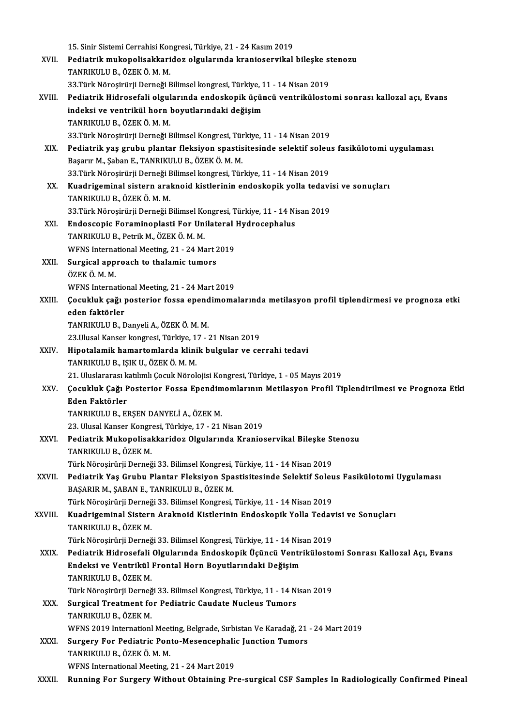15. Sinir Sistemi Cerrahisi Kongresi, Türkiye, 21 - 24 Kasım 2019<br>Pedistrik mukanelisekkarider, elsularında kranisesrrikalı

- 15. Sinir Sistemi Cerrahisi Kongresi, Türkiye, 21 24 Kasım 2019<br>XVII. Pediatrik mukopolisakkaridoz olgularında kranioservikal bileşke stenozu<br>TANPIKULU B. ÖZEKÖ M. M 15. Sinir Sistemi Cerrahisi Kor<br>Pediatrik mukopolisakkari<br>TANRIKULU B., ÖZEK Ö. M. M.<br>22 Türk Nänesinünü Derneği E Pediatrik mukopolisakkaridoz olgularında kranioservikal bileşke st<br>TANRIKULU B., ÖZEK Ö. M. M.<br>33.Türk Nöroşirürji Derneği Bilimsel kongresi, Türkiye, 11 - 14 Nisan 2019<br>Pediatrik Hidrosefeli, olanlarında endeekenik ögüngü
- TANRIKULU B., ÖZEK Ö. M. M.<br>33.Türk Nöroşirürji Derneği Bilimsel kongresi, Türkiye, 11 14 Nisan 2019<br>XVIII. Pediatrik Hidrosefali olgularında endoskopik üçüncü ventrikülostomi sonrası kallozal açı, Evans<br>indeksi ve y 33.Türk Nöroşirürji Derneği Bilimsel kongresi, Türkiye, 11 - 14 Nisan 2019<br>Pediatrik Hidrosefali olgularında endoskopik üçüncü ventriküloste<br>indeksi ve ventrikül horn boyutlarındaki değişim<br>TANRIKULU B., ÖZEK Ö. M. M. Pediatrik Hidrosefali olgul<br>indeksi ve ventrikül horn |<br>TANRIKULU B., ÖZEK Ö. M. M.<br>22 Türk Nörosirürü Derneği E 33.TürkNöroşirürjiDerneğiBilimselKongresi,Türkiye,11 -14Nisan2019
- TANRIKULU B., ÖZEK Ö. M. M.<br>33.Türk Nöroşirürji Derneği Bilimsel Kongresi, Türkiye, 11 14 Nisan 2019<br>XIX. Pediatrik yaş grubu plantar fleksiyon spastisitesinde selektif soleus fasikülotomi uygulaması<br> 33.Türk Nöroşirürji Derneği Bilimsel Kongresi, Tür<br>Pediatrik yaş grubu plantar fleksiyon spastis<br>Başarır M., Şaban E., TANRIKULU B., ÖZEK Ö. M. M.<br>22 Türk Nörosinürli Derneği Bilimsel kongresi, Tür Pediatrik yaş grubu plantar fleksiyon spastisitesinde selektif soleu<br>Başarır M., Şaban E., TANRIKULU B., ÖZEK Ö. M. M.<br>33.Türk Nöroşirürji Derneği Bilimsel kongresi, Türkiye, 11 - 14 Nisan 2019<br>Kuadrigeminal sistem aralmej 33. Türk Nöroşirürji Derneği Bilimsel kongresi, Türkiye, 11 - 14 Nisan 2019
- Başarır M., Şaban E., TANRIKULU B., ÖZEK Ö. M. M.<br>33.Türk Nöroşirürji Derneği Bilimsel kongresi, Türkiye, 11 14 Nisan 2019<br>XX. Kuadrigeminal sistern araknoid kistlerinin endoskopik yolla tedavisi ve sonuçları<br>TANRIKULU B Kuadrigeminal sistern araknoid kistlerinin endoskopik yolla tedavi<br>TANRIKULU B., ÖZEK Ö. M. M.<br>33.Türk Nöroşirürji Derneği Bilimsel Kongresi, Türkiye, 11 - 14 Nisan 2019<br>Endossonia Forominonlasti For Unilateral Hydrosonhal
- TANRIKULU B., ÖZEK Ö. M. M.<br>33.Türk Nöroşirürji Derneği Bilimsel Kongresi, Türkiye, 11 14 Ni<br>XXI. Endoscopic Foraminoplasti For Unilateral Hydrocephalus<br>TANPIKULU B. Petrik M. ÖZEK Ö. M. M. 33.Türk Nöroşirürji Derneği Bilimsel Ko<br><mark>Endoscopic Foraminoplasti For Un</mark>i<br>TANRIKULU B., Petrik M., ÖZEK Ö. M. M.<br>WENS International Meeting, 21 – 24 Me Endoscopic Foraminoplasti For Unilateral<br>TANRIKULU B., Petrik M., ÖZEK Ö. M. M.<br>WFNS International Meeting, 21 - 24 Mart 2019<br>Sungigal annroach to thelamis tumors
- TANRIKULU B., Petrik M., ÖZEK Ö. M. M.<br>WFNS International Meeting, 21 24 Mart 2<br>XXII. Surgical approach to thalamic tumors<br>ÖZEK Ö. M. M WFNS Interna<br><mark>Surgical app</mark><br>ÖZEK Ö. M. M.<br>WENS Interna Surgical approach to thalamic tumors<br>ÖZEK Ö. M. M.<br>WFNS International Meeting, 21 - 24 Mart 2019<br>Cosukluk sağı postarior fosse apardimema

ÖZEK Ö. M. M.<br>WFNS International Meeting, 21 - 24 Mart 2019<br>XXIII. Çocukluk çağı posterior fossa ependimomalarında metilasyon profil tiplendirmesi ve prognoza etki<br>eden faktörler WFNS Internatio<br>Çocukluk çağı <sub>l</sub><br>eden faktörler<br>TANPIKII U P. F <mark>eden faktörler</mark><br>TANRIKULU B., Danyeli A., ÖZEK Ö. M. M.<br>23.Ulusal Kanser kongresi, Türkiye, 17 - 21 Nisan 2019<br>Hinetalamik hamartamlarda klinik bulgular ve *9*0

TANRIKULUB.,DanyeliA.,ÖZEKÖ.M.M.

- XXIV. Hipotalamik hamartomlarda klinik bulgular ve cerrahi tedavi 23.Ulusal Kanser kongresi, Türkiye, 1<br>Hipotalamik hamartomlarda klini<br>TANRIKULU B., IŞIK U., ÖZEK Ö. M. M.<br>21. Uluslararesı katılmlı Cosuk Nörol Hipotalamik hamartomlarda klinik bulgular ve cerrahi tedavi<br>TANRIKULU B., IŞIK U., ÖZEK Ö. M. M.<br>21. Uluslararası katılımlı Çocuk Nörolojisi Kongresi, Türkiye, 1 - 05 Mayıs 2019<br>Cosukluk Cağı Postaniar Fossa Epandimemların
- TANRIKULU B., IŞIK U., ÖZEK Ö. M. M.<br>21. Uluslararası katılımlı Çocuk Nörolojisi Kongresi, Türkiye, 1 05 Mayıs 2019<br>XXV. Çocukluk Çağı Posterior Fossa Ependimomlarının Metilasyon Profil Tiplendirilmesi ve Prognoza Et 21. Uluslararası k<br>Çocukluk Çağı P<br>Eden Faktörler<br>TANDIVII U P-FI Çocukluk Çağı Posterior Fossa Ependim<br>Eden Faktörler<br>TANRIKULU B., ERŞEN DANYELİ A., ÖZEK M.<br>22. Ulusel Kansen Konsresi Türkiye 17., 21. Eden Faktörler<br>TANRIKULU B., ERŞEN DANYELİ A., ÖZEK M.<br>23. Ulusal Kanser Kongresi, Türkiye, 17 - 21 Nisan 2019

TANRIKULU B., ERŞEN DANYELİ A., ÖZEK M.<br>23. Ulusal Kanser Kongresi, Türkiye, 17 - 21 Nisan 2019<br>XXVI. Pediatrik Mukopolisakkaridoz Olgularında Kranioservikal Bileşke Stenozu<br>TANRIKULU B. ÖZEK M 23. Ulusal Kanser Kongr<br><mark>Pediatrik Mukopolisal</mark><br>TANRIKULU B., ÖZEK M.<br>Türk Nönesirürii Derneğ Pediatrik Mukopolisakkaridoz Olgularında Kranioservikal Bileşke St<br>TANRIKULU B., ÖZEK M.<br>Türk Nöroşirürji Derneği 33. Bilimsel Kongresi, Türkiye, 11 - 14 Nisan 2019<br>Pediatrik Yas Grubu Plantar Eleksiyan Spestisitesinde Sel

TANRIKULU B., ÖZEK M.<br>Türk Nöroşirürji Derneği 33. Bilimsel Kongresi, Türkiye, 11 - 14 Nisan 2019<br>XXVII. Pediatrik Yaş Grubu Plantar Fleksiyon Spastisitesinde Selektif Soleus Fasikülotomi Uygulaması<br>RASARIR M. SARAN Türk Nöroşirürji Derneği 33. Bilimsel Kongresi,<br>Pediatrik Yaş Grubu Plantar Fleksiyon Spa<br>BAŞARIR M., ŞABAN E., TANRIKULU B., ÖZEK M.<br>Türk Nörosirürü Derneği 33. Bilimsel Kongresi Pediatrik Yaş Grubu Plantar Fleksiyon Spastisitesinde Selektif Soleu<br>BAŞARIR M., ŞABAN E., TANRIKULU B., ÖZEK M.<br>Türk Nöroşirürji Derneği 33. Bilimsel Kongresi, Türkiye, 11 - 14 Nisan 2019<br>Kuadrigominal Sistern Araknoid Ki

BAŞARIR M., ŞABAN E., TANRIKULU B., ÖZEK M.<br>Türk Nöroşirürji Derneği 33. Bilimsel Kongresi, Türkiye, 11 - 14 Nisan 2019<br>XXVIII. Kuadrigeminal Sistern Araknoid Kistlerinin Endoskopik Yolla Tedavisi ve Sonuçları<br>TANPIKII Türk Nöroşirürji Derneğ<br><mark>Kuadrigeminal Sisterr</mark><br>TANRIKULU B., ÖZEK M.<br>Türk Nörosirürü Derneğ Kuadrigeminal Sistern Araknoid Kistlerinin Endoskopik Yolla Tedav<br>TANRIKULU B., ÖZEK M.<br>Türk Nöroşirürji Derneği 33. Bilimsel Kongresi, Türkiye, 11 - 14 Nisan 2019<br>Pediatrik Hidrosofali Olaylarında Endoskopik Üçüneü Ventri

- TANRIKULU B., ÖZEK M.<br>Türk Nöroşirürji Derneği 33. Bilimsel Kongresi, Türkiye, 11 14 Nisan 2019<br>XXIX. Pediatrik Hidrosefali Olgularında Endoskopik Üçüncü Ventrikülostomi Sonrası Kallozal Açı, Evans<br>Radeksi ve Ventrik Türk Nöroşirürji Derneği 33. Bilimsel Kongresi, Türkiye, 11 - 14 Nis<br>Pediatrik Hidrosefali Olgularında Endoskopik Üçüncü Ventr<br>Endeksi ve Ventrikül Frontal Horn Boyutlarındaki Değişim<br>TANPIKULU B. ÖZEK M Pediatrik Hidrosefali<br>Endeksi ve Ventrikül<br>TANRIKULU B., ÖZEK M.<br>Türk Nänesirürü Derneğ Endeksi ve Ventrikül Frontal Horn Boyutlarındaki Değişim<br>TANRIKULU B., ÖZEK M.<br>Türk Nöroşirürji Derneği 33. Bilimsel Kongresi, Türkiye, 11 - 14 Nisan 2019<br>Sungisel Treatment for Pediatris Gaudate Nugleus Tumars.
- TANRIKULU B., ÖZEK M.<br>Türk Nöroşirürji Derneği 33. Bilimsel Kongresi, Türkiye, 11 14 N.<br>XXX. Surgical Treatment for Pediatric Caudate Nucleus Tumors<br>TANRIKULU B., ÖZEK M. Türk Nöroşirürji Derneğ<br><mark>Surgical Treatment fo</mark><br>TANRIKULU B., ÖZEK M.<br>WENS 2010 Internation WFNS 2019 Internationl Meeting, Belgrade, Sırbistan Ve Karadağ, 21 - 24 Mart 2019 TANRIKULU B., ÖZEK M.<br>WFNS 2019 Internationl Meeting, Belgrade, Sırbistan Ve Karadağ, 21<br>XXXI. Surgery For Pediatric Ponto-Mesencephalic Junction Tumors<br>TANPIKULU P. ÖZEKÖ M.M.
- WFNS 2019 Internationl Meet<br>Surgery For Pediatric Pon<br>TANRIKULU B., ÖZEK Ö. M. M.<br>WENS International Meeting Surgery For Pediatric Ponto-Mesencephali<br>TANRIKULU B., ÖZEK Ö. M. M.<br>WFNS International Meeting, 21 - 24 Mart 2019<br>Bunning For Surgery Without Obtaining Br TANRIKULU B., ÖZEK Ö. M. M.<br>WFNS International Meeting, 21 - 24 Mart 2019<br>XXXII. Running For Surgery Without Obtaining Pre-surgical CSF Samples In Radiologically Confirmed Pineal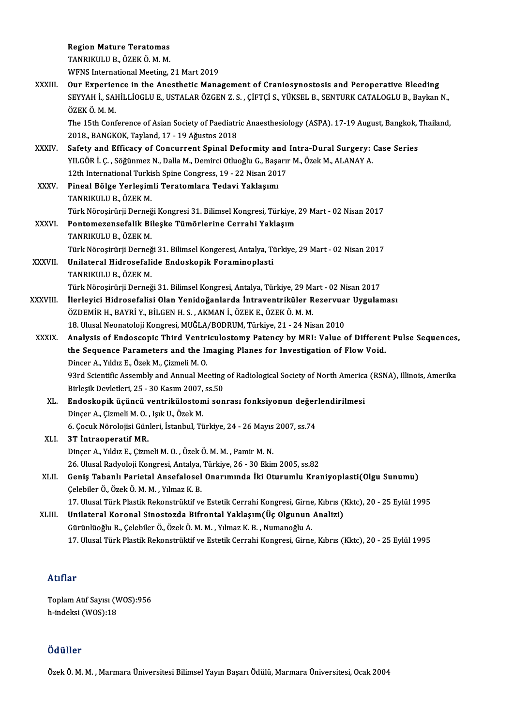Region Mature Teratomas

TANRIKULUB.,ÖZEKÖ.M.M.

WFNS International Meeting, 21 Mart 2019

TANRIKULU B., ÖZEK Ö. M. M.<br>WFNS International Meeting, 21 Mart 2019<br>XXXIII. Our Experience in the Anesthetic Management of Craniosynostosis and Peroperative Bleeding<br>SEVYAH I. SAHILLIQCLUE HSTALAR ÖZCEN Z.S. CİETCİ S. VÜK SEYYAH İ., SAHİLLİOGLU E., USTALAR ÖZGEN Z. S. , ÇİFTÇİ S., YÜKSEL B., SENTURK CATALOGLU B., Baykan N.,<br>ÖZEK Ö. M. M. **Our Experier<br>SEYYAH İ., SAI<br>ÖZEK Ö. M. M.**<br>The 15th Cent SEYYAH İ., SAHİLLİOGLU E., USTALAR ÖZGEN Z. S. , ÇİFTÇİ S., YÜKSEL B., SENTURK CATALOGLU B., Baykan N.,<br>ÖZEK Ö. M. M.<br>The 15th Conference of Asian Society of Paediatric Anaesthesiology (ASPA). 17-19 August, Bangkok, Thaila

ÖZEK Ö. M. M.<br>The 15th Conference of Asian Society of Paediatr<br>2018., BANGKOK, Tayland, 17 - 19 Ağustos 2018<br>Safety and Efficacy of Congurrent Spinal De The 15th Conference of Asian Society of Paediatric Anaesthesiology (ASPA). 17-19 August, Bangkok,<br>2018., BANGKOK, Tayland, 17 - 19 Ağustos 2018<br>XXXIV. Safety and Efficacy of Concurrent Spinal Deformity and Intra-Dural Surg

- 2018., BANGKOK, Tayland, 17 19 Ağustos 2018<br>Safety and Efficacy of Concurrent Spinal Deformity and Intra-Dural Surgery: Tagging Safety and Efficacy of Concurrent Spinal Deformity and Intra-Dural Surgery: T<br>YILGÖR İ. Ç. , Safety and Efficacy of Concurrent Spinal Deformity and<br>YILGÖR İ. Ç. , Söğünmez N., Dalla M., Demirci Otluoğlu G., Başarı<br>12th International Turkish Spine Congress, 19 - 22 Nisan 2017<br>Pineal Bölge Verlesimli Teratomlara Ted YILGÖR İ. Ç. , Söğünmez N., Dalla M., Demirci Otluoğlu G., Başarır M., Özek M., ALANAY A.<br>12th International Turkish Spine Congress, 19 - 22 Nisan 2017<br>XXXV. Pineal Bölge Yerleşimli Teratomlara Tedavi Yaklaşımı<br>TANRIKU 12th International Turkish Spine Congress, 19 - 22 Nisan 2017
- Türk Nöroşirürji Derneği Kongresi 31. Bilimsel Kongresi, Türkiye, 29 Mart 02 Nisan 2017 TANRIKULU B., ÖZEK M.<br>Türk Nöroşirürji Derneği Kongresi 31. Bilimsel Kongresi, Türkiye,<br>XXXVI. Pontomezensefalik Bileşke Tümörlerine Cerrahi Yaklaşım<br>TANRIKIJI JI R. ÖZEK M.
- Türk Nöroşirürji Derneğ<br><mark>Pontomezensefalik Bi</mark><br>TANRIKULU B., ÖZEK M.<br>Türk Nörosirürii Derneğ Pontomezensefalik Bileşke Tümörlerine Cerrahi Yaklaşım<br>TANRIKULU B., ÖZEK M.<br>Türk Nöroşirürji Derneği 31. Bilimsel Kongeresi, Antalya, Türkiye, 29 Mart - 02 Nisan 2017<br>Unilatenal Hidrosefalide Endeskenik Fereminenlesti TANRIKULU B., ÖZEK M.<br>Türk Nöroşirürji Derneği 31. Bilimsel Kongeresi, Antalya, Ti<br>XXXVII. Unilateral Hidrosefalide Endoskopik Foraminoplasti<br>TANRIKULU B., ÖZEK M.
- Türk Nöroşirürji Derneğ<br><mark>Unilateral Hidrosefali</mark><br>TANRIKULU B., ÖZEK M.<br>Türk Nörosirürii Derneğ Unilateral Hidrosefalide Endoskopik Foraminoplasti<br>TANRIKULU B., ÖZEK M.<br>Türk Nöroşirürji Derneği 31. Bilimsel Kongresi, Antalya, Türkiye, 29 Mart - 02 Nisan 2017<br>İlerleyisi Hidrosefalisi Olan Yenideğenlerde İntraventrikül
- TANRIKULU B., ÖZEK M.<br>Türk Nöroşirürji Derneği 31. Bilimsel Kongresi, Antalya, Türkiye, 29 Mart 02 Nisan 2017<br>XXXVIII. İlerleyici Hidrosefalisi Olan Yenidoğanlarda İntraventriküler Rezervuar Uygulaması<br>ÖZDEMİR H. RAY Türk Nöroşirürji Derneği 31. Bilimsel Kongresi, Antalya, Türkiye, 29 Ma<br>İlerleyici Hidrosefalisi Olan Yenidoğanlarda İntraventriküler R<br>ÖZDEMİR H., BAYRİ Y., BİLGEN H. S. , AKMAN İ., ÖZEK E., ÖZEK Ö. M. M.<br>19. Ulucal Neona İlerleyici Hidrosefalisi Olan Yenidoğanlarda İntraventriküler Rezervuar Uygulaması<br>ÖZDEMİR H., BAYRİ Y., BİLGEN H. S. , AKMAN İ., ÖZEK E., ÖZEK Ö. M. M.<br>18. Ulusal Neonatoloji Kongresi, MUĞLA/BODRUM, Türkiye, 21 - 24 Nisan
- ÖZDEMİR H., BAYRİ Y., BİLGEN H. S. , AKMAN İ., ÖZEK E., ÖZEK Ö. M. M.<br>18. Ulusal Neonatoloji Kongresi, MUĞLA/BODRUM, Türkiye, 21 24 Nisan 2010<br>XXXIX. Analysis of Endoscopic Third Ventriculostomy Patency by MRI: Value 18. Ulusal Neonatoloji Kongresi, MUĞLA/BODRUM, Türkiye, 21 - 24 Nisan 2010<br>Analysis of Endoscopic Third Ventriculostomy Patency by MRI: Value of Differen<br>the Sequence Parameters and the Imaging Planes for Investigation of Analysis of Endoscopic Third Ventriche Sequence Parameters and the Infinited Dincer A., Yıldız E., Özek M., Çizmeli M. O.<br>22rd Scientific Assembly and Annual Me the Sequence Parameters and the Imaging Planes for Investigation of Flow Void.<br>Dincer A., Yıldız E., Özek M., Çizmeli M. O.<br>93rd Scientific Assembly and Annual Meeting of Radiological Society of North America (RSNA), Illin Dincer A., Yıldız E., Özek M., Çizmeli M. O.<br>93rd Scientific Assembly and Annual Meeting<br>Birleşik Devletleri, 25 - 30 Kasım 2007, ss.50<br>Endeskenik üsüngü yentrikülestemi sen 93rd Scientific Assembly and Annual Meeting of Radiological Society of North America<br>Birleşik Devletleri, 25 - 30 Kasım 2007, ss.50<br>XL. Endoskopik üçüncü ventrikülostomi sonrası fonksiyonun değerlendirilmesi<br>Dincer A. Girm
	- Birleşik Devletleri, 25 30 Kasım 2007,<br>**Endoskopik üçüncü ventriküloston**<br>Dinçer A., Çizmeli M. O. , Işık U., Özek M.<br>6 *Cosuk Nörolojisi Cünleri, İstanbul Tü* Endoskopik üçüncü ventrikülostomi sonrası fonksiyonun değer<br>Dinçer A., Çizmeli M. O. , Işık U., Özek M.<br>6. Çocuk Nörolojisi Günleri, İstanbul, Türkiye, 24 - 26 Mayıs 2007, ss.74<br><sup>2T.</sup> İntreeperetif MP. Dinçer A., Çizmeli M. O. , Işık U., Özek M.<br>6. Çocuk Nörolojisi Günleri, İstanbul, Türkiye, 24 - 26 Mayıs 2007, ss.74<br>XLI. 3T İntraoperatif MR.
	- Dinçer A., Yıldız E., Çizmeli M. O., Özek Ö. M. M., Pamir M. N. 26. Ulusal Radyoloji Kongresi, Antalya, Türkiye, 26 - 30 Ekim 2005, ss.82 Dinçer A., Yıldız E., Çizmeli M. O. , Özek Ö. M. M. , Pamir M. N.<br>26. Ulusal Radyoloji Kongresi, Antalya, Türkiye, 26 - 30 Ekim 2005, ss.82<br>XLII. 6eniş Tabanlı Parietal Ansefalosel Onarımında İki Oturumlu Kraniyoplasti(Olg
- 26. Ulusal Radyoloji Kongresi, Antalya,<br>Geniş Tabanlı Parietal Ansefalosel<br>Çelebiler Ö., Özek Ö. M. M. , Yılmaz K. B.<br>17. Ulusal Türk Plastik Bekanstrültif ve Geniş Tabanlı Parietal Ansefalosel Onarımında İki Oturumlu Kraniyoplasti(Olgu Sunumu)<br>Çelebiler Ö., Özek Ö. M. M. , Yılmaz K. B.<br>17. Ulusal Türk Plastik Rekonstrüktif ve Estetik Cerrahi Kongresi, Girne, Kıbrıs (Kktc), 20 -Celebiler Ö., Özek Ö. M. M. , Yılmaz K. B.<br>17. Ulusal Türk Plastik Rekonstrüktif ve Estetik Cerrahi Kongresi, Girne, Kıbrıs (I<br>XLIII. Unilateral Koronal Sinostozda Bifrontal Yaklaşım(Üç Olgunun Analizi)
- 17. Ulusal Türk Plastik Rekonstrüktif ve Estetik Cerrahi Kongresi, Girne<br>Unilateral Koronal Sinostozda Bifrontal Yaklaşım(Üç Olgunun<br>Gürünlüoğlu R., Çelebiler Ö., Özek Ö. M. M. , Yılmaz K. B. , Numanoğlu A.<br>17. Ulusal Türk Gürünlüoğlu R., Çelebiler Ö., Özek Ö. M. M. , Yılmaz K. B. , Numanoğlu A.<br>17. Ulusal Türk Plastik Rekonstrüktif ve Estetik Cerrahi Kongresi, Girne, Kıbrıs (Kktc), 20 - 25 Eylül 1995

### Atıflar

Atıflar<br>Toplam Atıf Sayısı (WOS):956<br>b indeksi (WOS):18 rrerrer<br>Toplam Atıf Sayısı (V<br>h-indeksi (WOS):18 h-indeksi (WOS):18<br>Ödüller

Özek Ö. M. M., Marmara Üniversitesi Bilimsel Yayın Başarı Ödülü, Marmara Üniversitesi, Ocak 2004